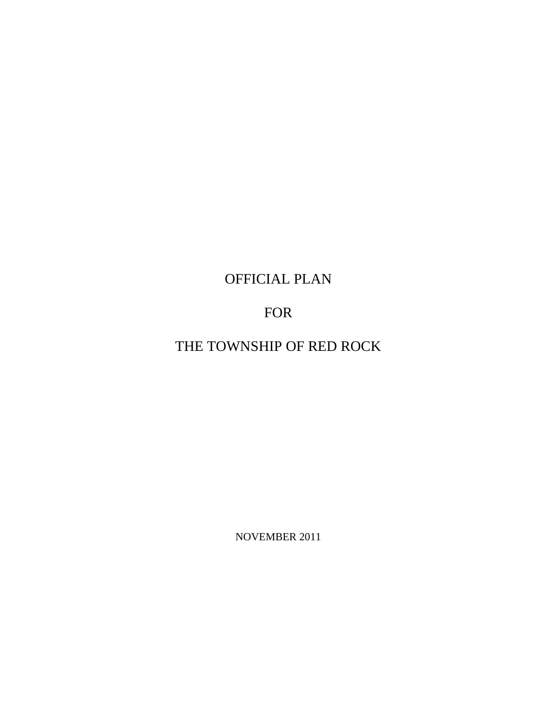# OFFICIAL PLAN

# FOR

THE TOWNSHIP OF RED ROCK

NOVEMBER 2011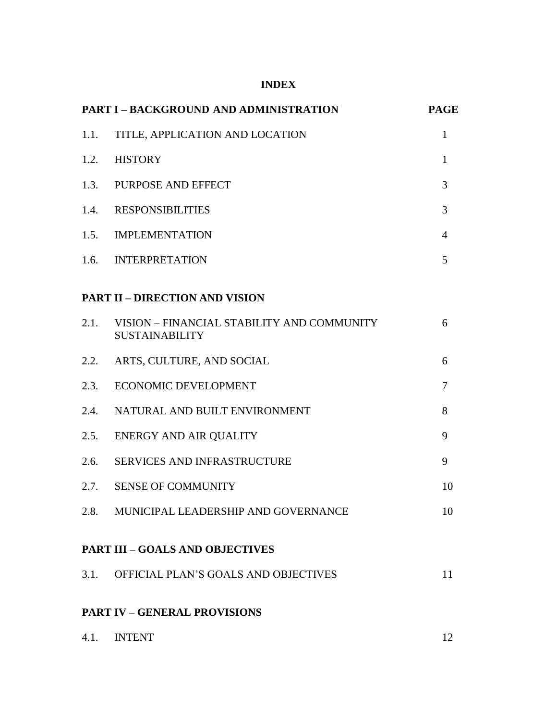# **INDEX**

| <b>PART I - BACKGROUND AND ADMINISTRATION</b> |                                                                          |              |
|-----------------------------------------------|--------------------------------------------------------------------------|--------------|
| 1.1.                                          | TITLE, APPLICATION AND LOCATION                                          | $\mathbf{1}$ |
|                                               | 1.2. HISTORY                                                             | $\mathbf{1}$ |
|                                               | 1.3. PURPOSE AND EFFECT                                                  | 3            |
| 1.4.                                          | <b>RESPONSIBILITIES</b>                                                  | 3            |
|                                               | 1.5. IMPLEMENTATION                                                      | 4            |
|                                               | 1.6. INTERPRETATION                                                      | 5            |
|                                               | <b>PART II - DIRECTION AND VISION</b>                                    |              |
|                                               | 2.1. VISION – FINANCIAL STABILITY AND COMMUNITY<br><b>SUSTAINABILITY</b> | 6            |
|                                               | 2.2. ARTS, CULTURE, AND SOCIAL                                           | 6            |
| 2.3.                                          | <b>ECONOMIC DEVELOPMENT</b>                                              | 7            |
| 2.4.                                          | NATURAL AND BUILT ENVIRONMENT                                            | 8            |
| 2.5.                                          | <b>ENERGY AND AIR QUALITY</b>                                            | 9            |
| 2.6.                                          | SERVICES AND INFRASTRUCTURE                                              | 9            |
|                                               | 2.7. SENSE OF COMMUNITY                                                  | 10           |
|                                               | 2.8. MUNICIPAL LEADERSHIP AND GOVERNANCE                                 | 10           |
|                                               | <b>PART III - GOALS AND OBJECTIVES</b>                                   |              |
|                                               | 3.1. OFFICIAL PLAN'S GOALS AND OBJECTIVES                                | 11           |
|                                               | <b>PART IV - GENERAL PROVISIONS</b>                                      |              |
| 4.1.                                          | <b>INTENT</b>                                                            | 12           |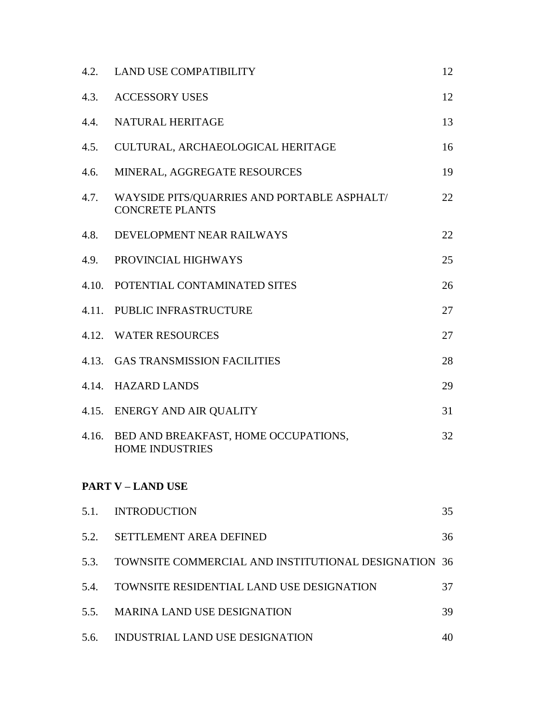| 4.2.                     | <b>LAND USE COMPATIBILITY</b>                                         | 12 |  |  |  |
|--------------------------|-----------------------------------------------------------------------|----|--|--|--|
| 4.3.                     | <b>ACCESSORY USES</b>                                                 | 12 |  |  |  |
| 4.4.                     | NATURAL HERITAGE                                                      | 13 |  |  |  |
| 4.5.                     | CULTURAL, ARCHAEOLOGICAL HERITAGE                                     | 16 |  |  |  |
| 4.6.                     | MINERAL, AGGREGATE RESOURCES                                          | 19 |  |  |  |
| 4.7.                     | WAYSIDE PITS/QUARRIES AND PORTABLE ASPHALT/<br><b>CONCRETE PLANTS</b> | 22 |  |  |  |
| 4.8.                     | DEVELOPMENT NEAR RAILWAYS                                             | 22 |  |  |  |
| 4.9.                     | PROVINCIAL HIGHWAYS                                                   | 25 |  |  |  |
| 4.10.                    | POTENTIAL CONTAMINATED SITES                                          | 26 |  |  |  |
|                          | 4.11. PUBLIC INFRASTRUCTURE                                           | 27 |  |  |  |
|                          | 4.12. WATER RESOURCES                                                 | 27 |  |  |  |
|                          | 4.13. GAS TRANSMISSION FACILITIES                                     | 28 |  |  |  |
|                          | 4.14. HAZARD LANDS                                                    | 29 |  |  |  |
|                          | 4.15. ENERGY AND AIR QUALITY                                          | 31 |  |  |  |
| 4.16.                    | BED AND BREAKFAST, HOME OCCUPATIONS,<br><b>HOME INDUSTRIES</b>        | 32 |  |  |  |
| <b>PART V - LAND USE</b> |                                                                       |    |  |  |  |
| 5.1.                     | <b>INTRODUCTION</b>                                                   | 35 |  |  |  |
| 5.2.                     | <b>SETTLEMENT AREA DEFINED</b>                                        | 36 |  |  |  |
| 5.3.                     | TOWNSITE COMMERCIAL AND INSTITUTIONAL DESIGNATION                     | 36 |  |  |  |
| 5.4.                     | TOWNSITE RESIDENTIAL LAND USE DESIGNATION                             | 37 |  |  |  |
| 5.5.                     | MARINA LAND USE DESIGNATION                                           | 39 |  |  |  |
| 5.6.                     | INDUSTRIAL LAND USE DESIGNATION                                       | 40 |  |  |  |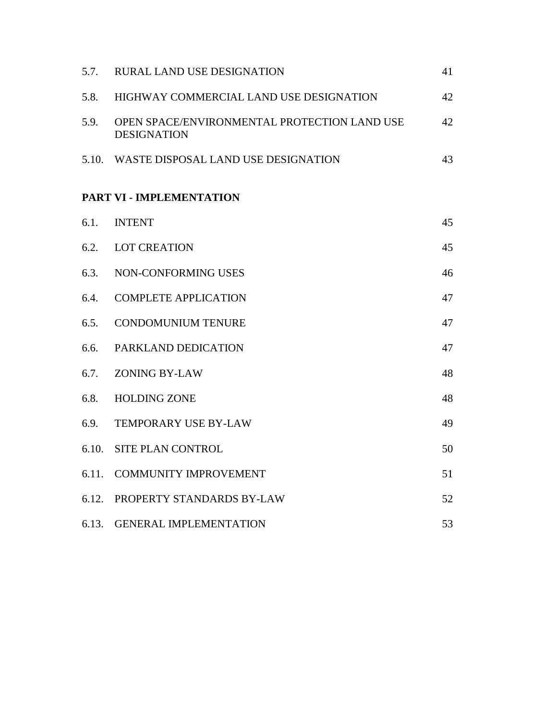| 5.7. | RURAL LAND USE DESIGNATION                                         | 41 |
|------|--------------------------------------------------------------------|----|
| 5.8. | HIGHWAY COMMERCIAL LAND USE DESIGNATION                            | 42 |
| 5.9. | OPEN SPACE/ENVIRONMENTAL PROTECTION LAND USE<br><b>DESIGNATION</b> | 42 |
|      | 5.10. WASTE DISPOSAL LAND USE DESIGNATION                          | 43 |
|      | PART VI - IMPLEMENTATION                                           |    |
| 6.1. | <b>INTENT</b>                                                      | 45 |
| 6.2. | <b>LOT CREATION</b>                                                | 45 |
| 6.3. | NON-CONFORMING USES                                                | 46 |
| 6.4. | <b>COMPLETE APPLICATION</b>                                        | 47 |
| 6.5. | <b>CONDOMUNIUM TENURE</b>                                          | 47 |
| 6.6. | PARKLAND DEDICATION                                                | 47 |
| 6.7. | <b>ZONING BY-LAW</b>                                               | 48 |
| 6.8. | <b>HOLDING ZONE</b>                                                | 48 |
| 6.9. | TEMPORARY USE BY-LAW                                               | 49 |
|      | 6.10. SITE PLAN CONTROL                                            | 50 |
|      | 6.11. COMMUNITY IMPROVEMENT                                        | 51 |
|      | 6.12. PROPERTY STANDARDS BY-LAW                                    | 52 |
|      | 6.13. GENERAL IMPLEMENTATION                                       | 53 |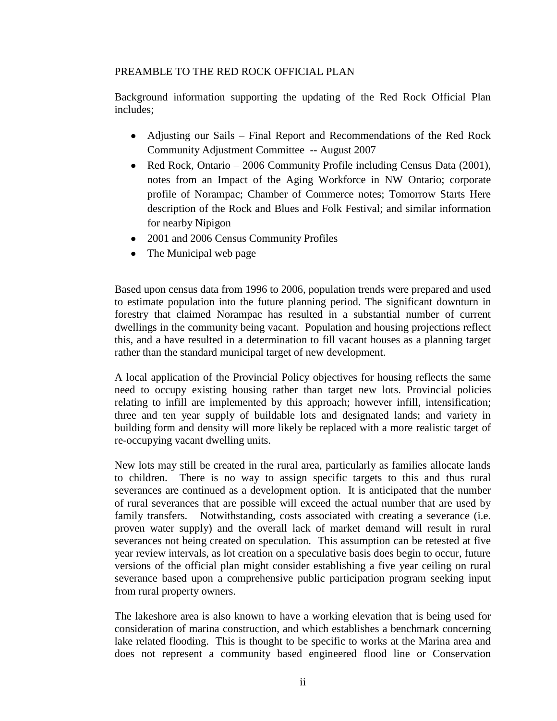#### PREAMBLE TO THE RED ROCK OFFICIAL PLAN

Background information supporting the updating of the Red Rock Official Plan includes;

- Adjusting our Sails Final Report and Recommendations of the Red Rock Community Adjustment Committee -- August 2007
- Red Rock, Ontario 2006 Community Profile including Census Data (2001), notes from an Impact of the Aging Workforce in NW Ontario; corporate profile of Norampac; Chamber of Commerce notes; Tomorrow Starts Here description of the Rock and Blues and Folk Festival; and similar information for nearby Nipigon
- 2001 and 2006 Census Community Profiles
- The Municipal web page

Based upon census data from 1996 to 2006, population trends were prepared and used to estimate population into the future planning period. The significant downturn in forestry that claimed Norampac has resulted in a substantial number of current dwellings in the community being vacant. Population and housing projections reflect this, and a have resulted in a determination to fill vacant houses as a planning target rather than the standard municipal target of new development.

A local application of the Provincial Policy objectives for housing reflects the same need to occupy existing housing rather than target new lots. Provincial policies relating to infill are implemented by this approach; however infill, intensification; three and ten year supply of buildable lots and designated lands; and variety in building form and density will more likely be replaced with a more realistic target of re-occupying vacant dwelling units.

New lots may still be created in the rural area, particularly as families allocate lands to children. There is no way to assign specific targets to this and thus rural severances are continued as a development option. It is anticipated that the number of rural severances that are possible will exceed the actual number that are used by family transfers. Notwithstanding, costs associated with creating a severance (i.e. proven water supply) and the overall lack of market demand will result in rural severances not being created on speculation. This assumption can be retested at five year review intervals, as lot creation on a speculative basis does begin to occur, future versions of the official plan might consider establishing a five year ceiling on rural severance based upon a comprehensive public participation program seeking input from rural property owners.

The lakeshore area is also known to have a working elevation that is being used for consideration of marina construction, and which establishes a benchmark concerning lake related flooding. This is thought to be specific to works at the Marina area and does not represent a community based engineered flood line or Conservation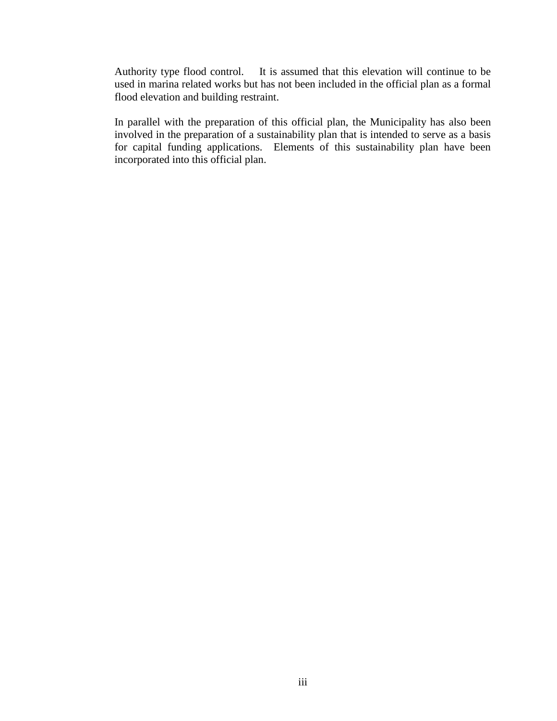Authority type flood control. It is assumed that this elevation will continue to be used in marina related works but has not been included in the official plan as a formal flood elevation and building restraint.

In parallel with the preparation of this official plan, the Municipality has also been involved in the preparation of a sustainability plan that is intended to serve as a basis for capital funding applications. Elements of this sustainability plan have been incorporated into this official plan.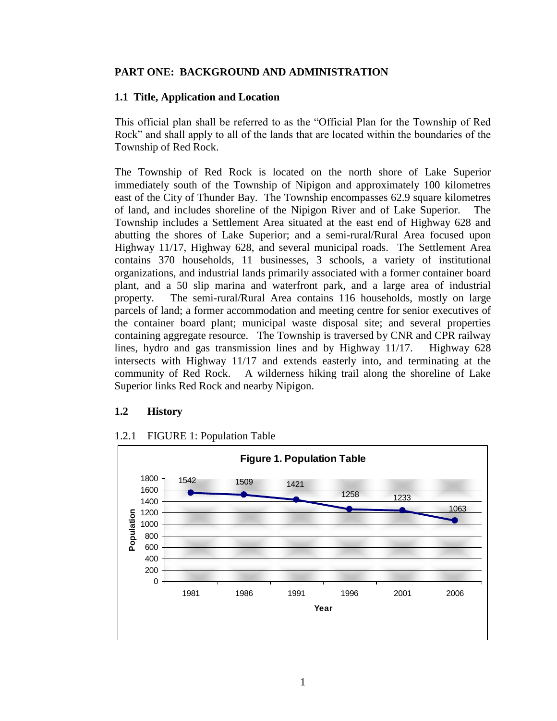## **PART ONE: BACKGROUND AND ADMINISTRATION**

## **1.1 Title, Application and Location**

This official plan shall be referred to as the "Official Plan for the Township of Red Rock" and shall apply to all of the lands that are located within the boundaries of the Township of Red Rock.

The Township of Red Rock is located on the north shore of Lake Superior immediately south of the Township of Nipigon and approximately 100 kilometres east of the City of Thunder Bay. The Township encompasses 62.9 square kilometres of land, and includes shoreline of the Nipigon River and of Lake Superior. The Township includes a Settlement Area situated at the east end of Highway 628 and abutting the shores of Lake Superior; and a semi-rural/Rural Area focused upon Highway 11/17, Highway 628, and several municipal roads. The Settlement Area contains 370 households, 11 businesses, 3 schools, a variety of institutional organizations, and industrial lands primarily associated with a former container board plant, and a 50 slip marina and waterfront park, and a large area of industrial property. The semi-rural/Rural Area contains 116 households, mostly on large parcels of land; a former accommodation and meeting centre for senior executives of the container board plant; municipal waste disposal site; and several properties containing aggregate resource. The Township is traversed by CNR and CPR railway lines, hydro and gas transmission lines and by Highway 11/17. Highway 628 intersects with Highway 11/17 and extends easterly into, and terminating at the community of Red Rock. A wilderness hiking trail along the shoreline of Lake Superior links Red Rock and nearby Nipigon.

## **1.2 History**



# 1.2.1 FIGURE 1: Population Table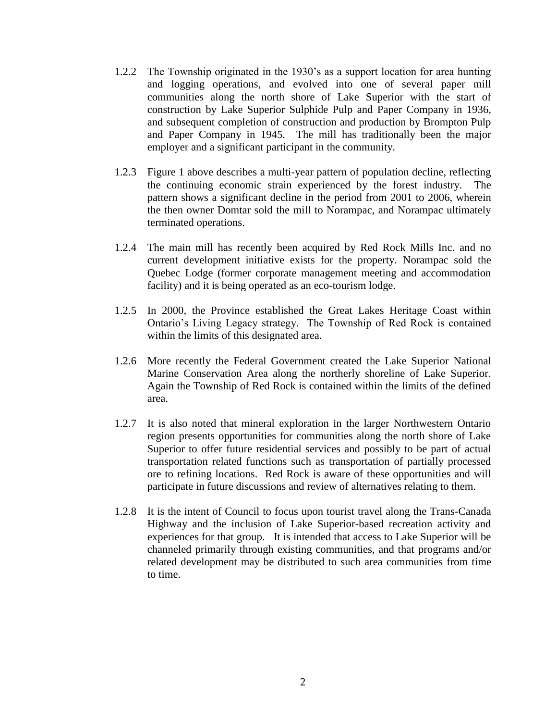- 1.2.2 The Township originated in the 1930's as a support location for area hunting and logging operations, and evolved into one of several paper mill communities along the north shore of Lake Superior with the start of construction by Lake Superior Sulphide Pulp and Paper Company in 1936, and subsequent completion of construction and production by Brompton Pulp and Paper Company in 1945. The mill has traditionally been the major employer and a significant participant in the community.
- 1.2.3 Figure 1 above describes a multi-year pattern of population decline, reflecting the continuing economic strain experienced by the forest industry. The pattern shows a significant decline in the period from 2001 to 2006, wherein the then owner Domtar sold the mill to Norampac, and Norampac ultimately terminated operations.
- 1.2.4 The main mill has recently been acquired by Red Rock Mills Inc. and no current development initiative exists for the property. Norampac sold the Quebec Lodge (former corporate management meeting and accommodation facility) and it is being operated as an eco-tourism lodge.
- 1.2.5 In 2000, the Province established the Great Lakes Heritage Coast within Ontario's Living Legacy strategy. The Township of Red Rock is contained within the limits of this designated area.
- 1.2.6 More recently the Federal Government created the Lake Superior National Marine Conservation Area along the northerly shoreline of Lake Superior. Again the Township of Red Rock is contained within the limits of the defined area.
- 1.2.7 It is also noted that mineral exploration in the larger Northwestern Ontario region presents opportunities for communities along the north shore of Lake Superior to offer future residential services and possibly to be part of actual transportation related functions such as transportation of partially processed ore to refining locations. Red Rock is aware of these opportunities and will participate in future discussions and review of alternatives relating to them.
- 1.2.8 It is the intent of Council to focus upon tourist travel along the Trans-Canada Highway and the inclusion of Lake Superior-based recreation activity and experiences for that group. It is intended that access to Lake Superior will be channeled primarily through existing communities, and that programs and/or related development may be distributed to such area communities from time to time.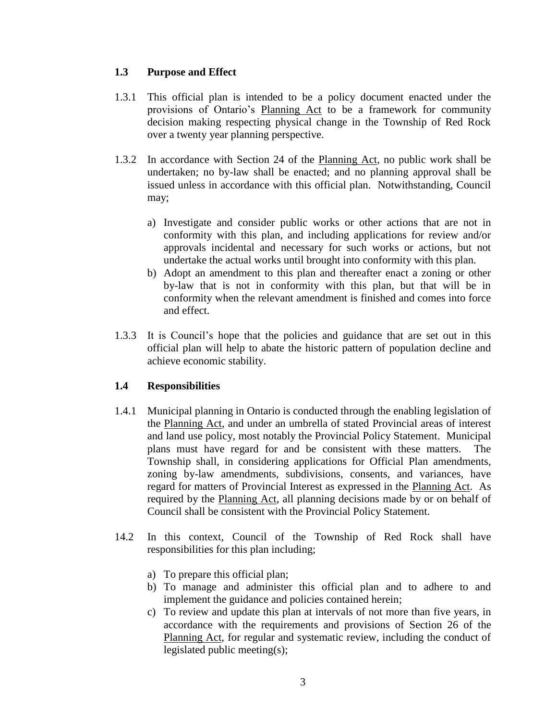## **1.3 Purpose and Effect**

- 1.3.1 This official plan is intended to be a policy document enacted under the provisions of Ontario's Planning Act to be a framework for community decision making respecting physical change in the Township of Red Rock over a twenty year planning perspective.
- 1.3.2 In accordance with Section 24 of the Planning Act, no public work shall be undertaken; no by-law shall be enacted; and no planning approval shall be issued unless in accordance with this official plan. Notwithstanding, Council may;
	- a) Investigate and consider public works or other actions that are not in conformity with this plan, and including applications for review and/or approvals incidental and necessary for such works or actions, but not undertake the actual works until brought into conformity with this plan.
	- b) Adopt an amendment to this plan and thereafter enact a zoning or other by-law that is not in conformity with this plan, but that will be in conformity when the relevant amendment is finished and comes into force and effect.
- 1.3.3 It is Council's hope that the policies and guidance that are set out in this official plan will help to abate the historic pattern of population decline and achieve economic stability.

## **1.4 Responsibilities**

- 1.4.1 Municipal planning in Ontario is conducted through the enabling legislation of the Planning Act, and under an umbrella of stated Provincial areas of interest and land use policy, most notably the Provincial Policy Statement. Municipal plans must have regard for and be consistent with these matters. The Township shall, in considering applications for Official Plan amendments, zoning by-law amendments, subdivisions, consents, and variances, have regard for matters of Provincial Interest as expressed in the Planning Act. As required by the Planning Act, all planning decisions made by or on behalf of Council shall be consistent with the Provincial Policy Statement.
- 14.2 In this context, Council of the Township of Red Rock shall have responsibilities for this plan including;
	- a) To prepare this official plan;
	- b) To manage and administer this official plan and to adhere to and implement the guidance and policies contained herein;
	- c) To review and update this plan at intervals of not more than five years, in accordance with the requirements and provisions of Section 26 of the Planning Act, for regular and systematic review, including the conduct of legislated public meeting(s);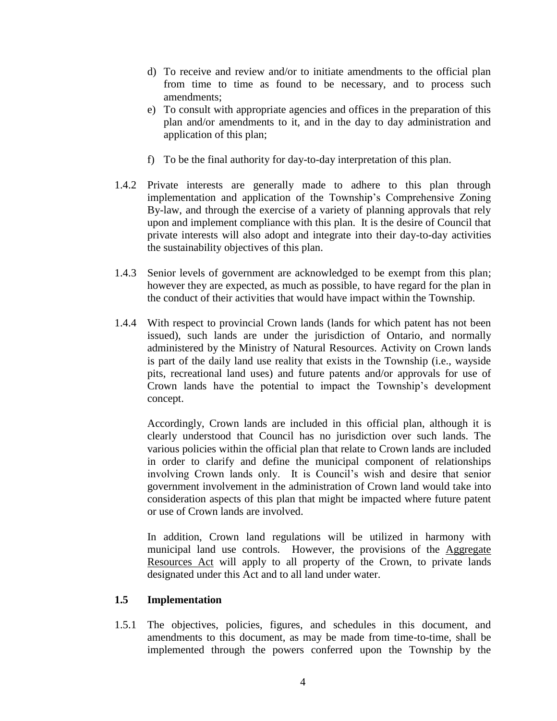- d) To receive and review and/or to initiate amendments to the official plan from time to time as found to be necessary, and to process such amendments;
- e) To consult with appropriate agencies and offices in the preparation of this plan and/or amendments to it, and in the day to day administration and application of this plan;
- f) To be the final authority for day-to-day interpretation of this plan.
- 1.4.2 Private interests are generally made to adhere to this plan through implementation and application of the Township's Comprehensive Zoning By-law, and through the exercise of a variety of planning approvals that rely upon and implement compliance with this plan. It is the desire of Council that private interests will also adopt and integrate into their day-to-day activities the sustainability objectives of this plan.
- 1.4.3 Senior levels of government are acknowledged to be exempt from this plan; however they are expected, as much as possible, to have regard for the plan in the conduct of their activities that would have impact within the Township.
- 1.4.4 With respect to provincial Crown lands (lands for which patent has not been issued), such lands are under the jurisdiction of Ontario, and normally administered by the Ministry of Natural Resources. Activity on Crown lands is part of the daily land use reality that exists in the Township (i.e., wayside pits, recreational land uses) and future patents and/or approvals for use of Crown lands have the potential to impact the Township's development concept.

Accordingly, Crown lands are included in this official plan, although it is clearly understood that Council has no jurisdiction over such lands. The various policies within the official plan that relate to Crown lands are included in order to clarify and define the municipal component of relationships involving Crown lands only. It is Council's wish and desire that senior government involvement in the administration of Crown land would take into consideration aspects of this plan that might be impacted where future patent or use of Crown lands are involved.

In addition, Crown land regulations will be utilized in harmony with municipal land use controls. However, the provisions of the Aggregate Resources Act will apply to all property of the Crown, to private lands designated under this Act and to all land under water.

## **1.5 Implementation**

1.5.1 The objectives, policies, figures, and schedules in this document, and amendments to this document, as may be made from time-to-time, shall be implemented through the powers conferred upon the Township by the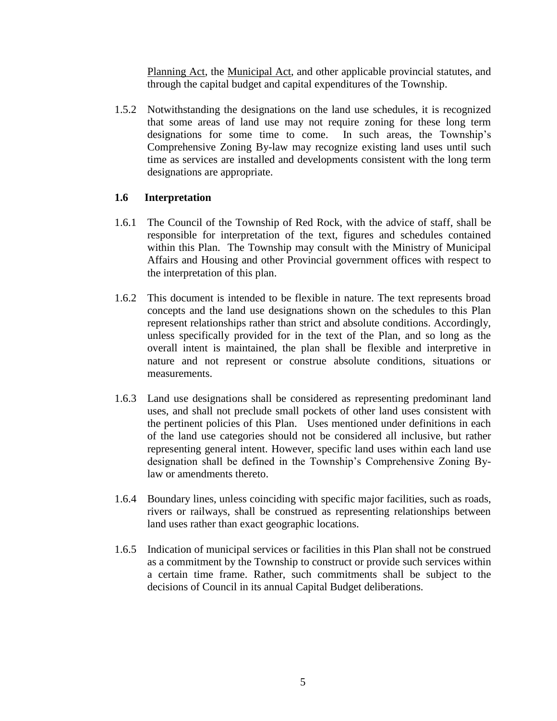Planning Act, the Municipal Act, and other applicable provincial statutes, and through the capital budget and capital expenditures of the Township.

1.5.2 Notwithstanding the designations on the land use schedules, it is recognized that some areas of land use may not require zoning for these long term designations for some time to come. In such areas, the Township's Comprehensive Zoning By-law may recognize existing land uses until such time as services are installed and developments consistent with the long term designations are appropriate.

## **1.6 Interpretation**

- 1.6.1 The Council of the Township of Red Rock, with the advice of staff, shall be responsible for interpretation of the text, figures and schedules contained within this Plan. The Township may consult with the Ministry of Municipal Affairs and Housing and other Provincial government offices with respect to the interpretation of this plan.
- 1.6.2 This document is intended to be flexible in nature. The text represents broad concepts and the land use designations shown on the schedules to this Plan represent relationships rather than strict and absolute conditions. Accordingly, unless specifically provided for in the text of the Plan, and so long as the overall intent is maintained, the plan shall be flexible and interpretive in nature and not represent or construe absolute conditions, situations or measurements.
- 1.6.3 Land use designations shall be considered as representing predominant land uses, and shall not preclude small pockets of other land uses consistent with the pertinent policies of this Plan. Uses mentioned under definitions in each of the land use categories should not be considered all inclusive, but rather representing general intent. However, specific land uses within each land use designation shall be defined in the Township's Comprehensive Zoning Bylaw or amendments thereto.
- 1.6.4 Boundary lines, unless coinciding with specific major facilities, such as roads, rivers or railways, shall be construed as representing relationships between land uses rather than exact geographic locations.
- 1.6.5 Indication of municipal services or facilities in this Plan shall not be construed as a commitment by the Township to construct or provide such services within a certain time frame. Rather, such commitments shall be subject to the decisions of Council in its annual Capital Budget deliberations.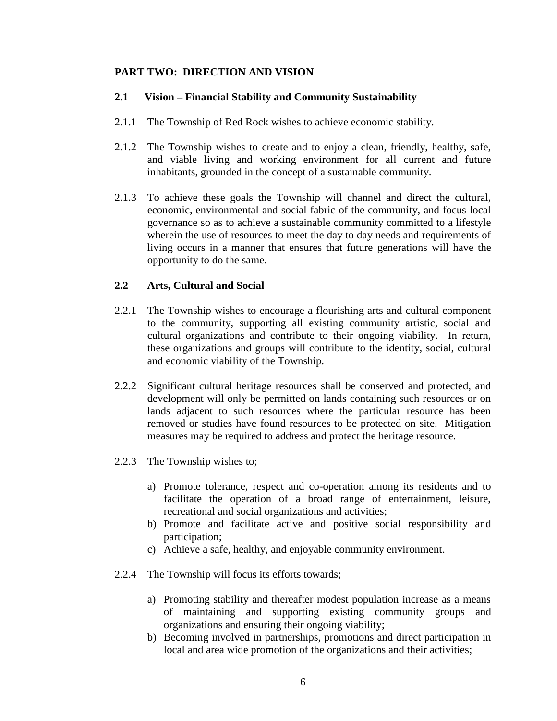## **PART TWO: DIRECTION AND VISION**

## **2.1 Vision – Financial Stability and Community Sustainability**

- 2.1.1 The Township of Red Rock wishes to achieve economic stability.
- 2.1.2 The Township wishes to create and to enjoy a clean, friendly, healthy, safe, and viable living and working environment for all current and future inhabitants, grounded in the concept of a sustainable community.
- 2.1.3 To achieve these goals the Township will channel and direct the cultural, economic, environmental and social fabric of the community, and focus local governance so as to achieve a sustainable community committed to a lifestyle wherein the use of resources to meet the day to day needs and requirements of living occurs in a manner that ensures that future generations will have the opportunity to do the same.

## **2.2 Arts, Cultural and Social**

- 2.2.1 The Township wishes to encourage a flourishing arts and cultural component to the community, supporting all existing community artistic, social and cultural organizations and contribute to their ongoing viability. In return, these organizations and groups will contribute to the identity, social, cultural and economic viability of the Township.
- 2.2.2 Significant cultural heritage resources shall be conserved and protected, and development will only be permitted on lands containing such resources or on lands adjacent to such resources where the particular resource has been removed or studies have found resources to be protected on site. Mitigation measures may be required to address and protect the heritage resource.
- 2.2.3 The Township wishes to;
	- a) Promote tolerance, respect and co-operation among its residents and to facilitate the operation of a broad range of entertainment, leisure, recreational and social organizations and activities;
	- b) Promote and facilitate active and positive social responsibility and participation;
	- c) Achieve a safe, healthy, and enjoyable community environment.
- 2.2.4 The Township will focus its efforts towards;
	- a) Promoting stability and thereafter modest population increase as a means of maintaining and supporting existing community groups and organizations and ensuring their ongoing viability;
	- b) Becoming involved in partnerships, promotions and direct participation in local and area wide promotion of the organizations and their activities;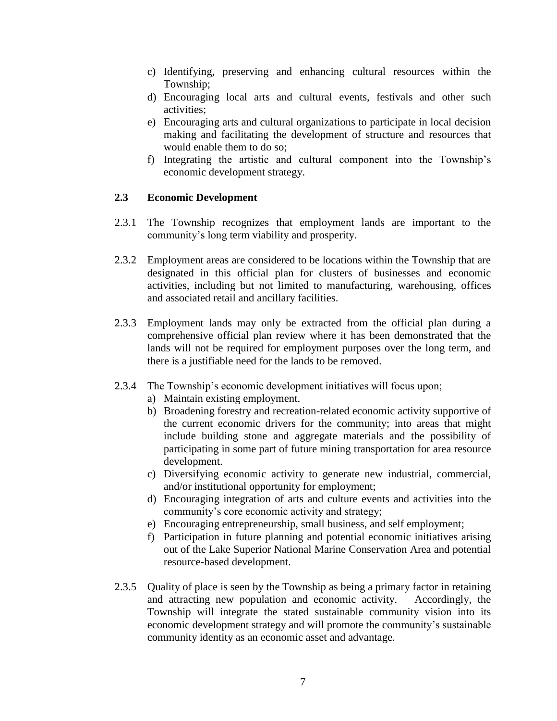- c) Identifying, preserving and enhancing cultural resources within the Township;
- d) Encouraging local arts and cultural events, festivals and other such activities;
- e) Encouraging arts and cultural organizations to participate in local decision making and facilitating the development of structure and resources that would enable them to do so;
- f) Integrating the artistic and cultural component into the Township's economic development strategy.

## **2.3 Economic Development**

- 2.3.1 The Township recognizes that employment lands are important to the community's long term viability and prosperity.
- 2.3.2 Employment areas are considered to be locations within the Township that are designated in this official plan for clusters of businesses and economic activities, including but not limited to manufacturing, warehousing, offices and associated retail and ancillary facilities.
- 2.3.3 Employment lands may only be extracted from the official plan during a comprehensive official plan review where it has been demonstrated that the lands will not be required for employment purposes over the long term, and there is a justifiable need for the lands to be removed.
- 2.3.4 The Township's economic development initiatives will focus upon;
	- a) Maintain existing employment.
	- b) Broadening forestry and recreation-related economic activity supportive of the current economic drivers for the community; into areas that might include building stone and aggregate materials and the possibility of participating in some part of future mining transportation for area resource development.
	- c) Diversifying economic activity to generate new industrial, commercial, and/or institutional opportunity for employment;
	- d) Encouraging integration of arts and culture events and activities into the community's core economic activity and strategy;
	- e) Encouraging entrepreneurship, small business, and self employment;
	- f) Participation in future planning and potential economic initiatives arising out of the Lake Superior National Marine Conservation Area and potential resource-based development.
- 2.3.5 Quality of place is seen by the Township as being a primary factor in retaining and attracting new population and economic activity. Accordingly, the Township will integrate the stated sustainable community vision into its economic development strategy and will promote the community's sustainable community identity as an economic asset and advantage.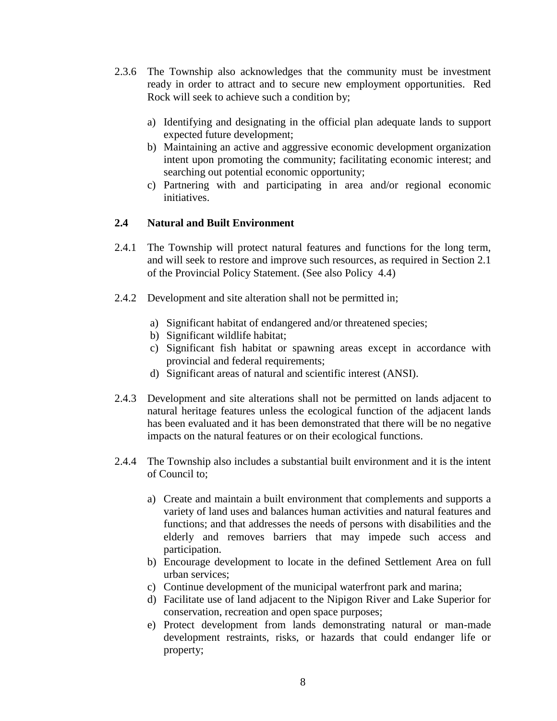- 2.3.6 The Township also acknowledges that the community must be investment ready in order to attract and to secure new employment opportunities. Red Rock will seek to achieve such a condition by;
	- a) Identifying and designating in the official plan adequate lands to support expected future development;
	- b) Maintaining an active and aggressive economic development organization intent upon promoting the community; facilitating economic interest; and searching out potential economic opportunity;
	- c) Partnering with and participating in area and/or regional economic initiatives.

## **2.4 Natural and Built Environment**

- 2.4.1 The Township will protect natural features and functions for the long term, and will seek to restore and improve such resources, as required in Section 2.1 of the Provincial Policy Statement. (See also Policy 4.4)
- 2.4.2 Development and site alteration shall not be permitted in;
	- a) Significant habitat of endangered and/or threatened species;
	- b) Significant wildlife habitat;
	- c) Significant fish habitat or spawning areas except in accordance with provincial and federal requirements;
	- d) Significant areas of natural and scientific interest (ANSI).
- 2.4.3 Development and site alterations shall not be permitted on lands adjacent to natural heritage features unless the ecological function of the adjacent lands has been evaluated and it has been demonstrated that there will be no negative impacts on the natural features or on their ecological functions.
- 2.4.4 The Township also includes a substantial built environment and it is the intent of Council to;
	- a) Create and maintain a built environment that complements and supports a variety of land uses and balances human activities and natural features and functions; and that addresses the needs of persons with disabilities and the elderly and removes barriers that may impede such access and participation.
	- b) Encourage development to locate in the defined Settlement Area on full urban services;
	- c) Continue development of the municipal waterfront park and marina;
	- d) Facilitate use of land adjacent to the Nipigon River and Lake Superior for conservation, recreation and open space purposes;
	- e) Protect development from lands demonstrating natural or man-made development restraints, risks, or hazards that could endanger life or property;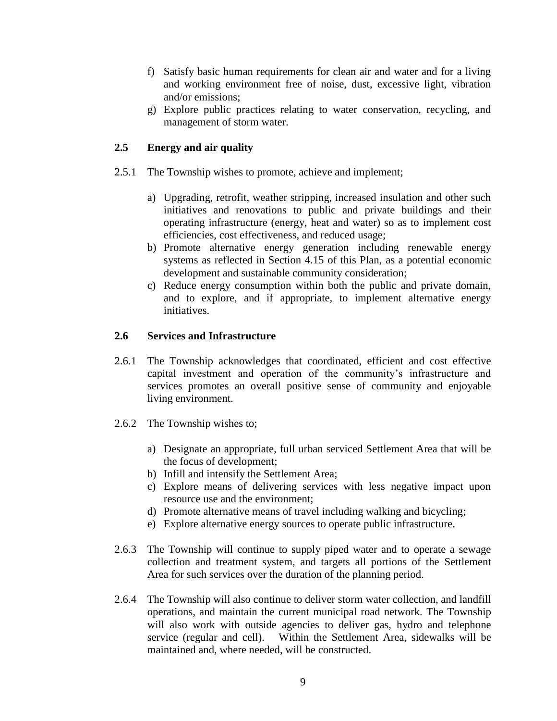- f) Satisfy basic human requirements for clean air and water and for a living and working environment free of noise, dust, excessive light, vibration and/or emissions;
- g) Explore public practices relating to water conservation, recycling, and management of storm water.

## **2.5 Energy and air quality**

- 2.5.1 The Township wishes to promote, achieve and implement;
	- a) Upgrading, retrofit, weather stripping, increased insulation and other such initiatives and renovations to public and private buildings and their operating infrastructure (energy, heat and water) so as to implement cost efficiencies, cost effectiveness, and reduced usage;
	- b) Promote alternative energy generation including renewable energy systems as reflected in Section 4.15 of this Plan, as a potential economic development and sustainable community consideration;
	- c) Reduce energy consumption within both the public and private domain, and to explore, and if appropriate, to implement alternative energy initiatives.

## **2.6 Services and Infrastructure**

- 2.6.1 The Township acknowledges that coordinated, efficient and cost effective capital investment and operation of the community's infrastructure and services promotes an overall positive sense of community and enjoyable living environment.
- 2.6.2 The Township wishes to;
	- a) Designate an appropriate, full urban serviced Settlement Area that will be the focus of development;
	- b) Infill and intensify the Settlement Area;
	- c) Explore means of delivering services with less negative impact upon resource use and the environment;
	- d) Promote alternative means of travel including walking and bicycling;
	- e) Explore alternative energy sources to operate public infrastructure.
- 2.6.3 The Township will continue to supply piped water and to operate a sewage collection and treatment system, and targets all portions of the Settlement Area for such services over the duration of the planning period.
- 2.6.4 The Township will also continue to deliver storm water collection, and landfill operations, and maintain the current municipal road network. The Township will also work with outside agencies to deliver gas, hydro and telephone service (regular and cell). Within the Settlement Area, sidewalks will be maintained and, where needed, will be constructed.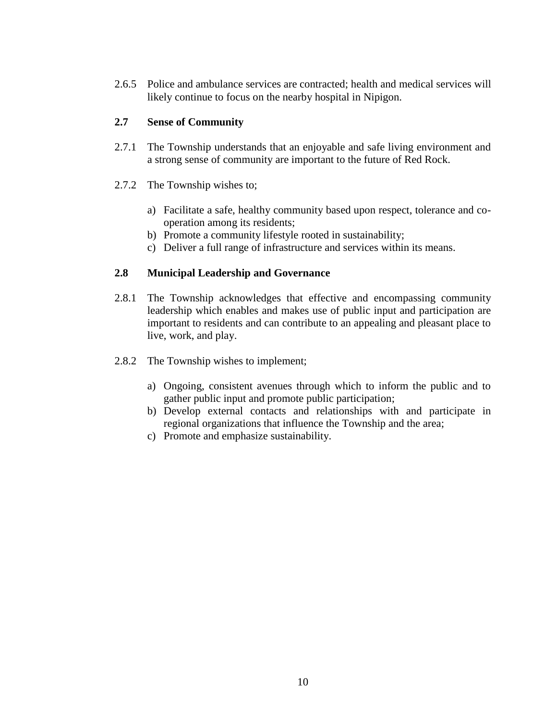2.6.5 Police and ambulance services are contracted; health and medical services will likely continue to focus on the nearby hospital in Nipigon.

#### **2.7 Sense of Community**

- 2.7.1 The Township understands that an enjoyable and safe living environment and a strong sense of community are important to the future of Red Rock.
- 2.7.2 The Township wishes to;
	- a) Facilitate a safe, healthy community based upon respect, tolerance and cooperation among its residents;
	- b) Promote a community lifestyle rooted in sustainability;
	- c) Deliver a full range of infrastructure and services within its means.

## **2.8 Municipal Leadership and Governance**

- 2.8.1 The Township acknowledges that effective and encompassing community leadership which enables and makes use of public input and participation are important to residents and can contribute to an appealing and pleasant place to live, work, and play.
- 2.8.2 The Township wishes to implement;
	- a) Ongoing, consistent avenues through which to inform the public and to gather public input and promote public participation;
	- b) Develop external contacts and relationships with and participate in regional organizations that influence the Township and the area;
	- c) Promote and emphasize sustainability.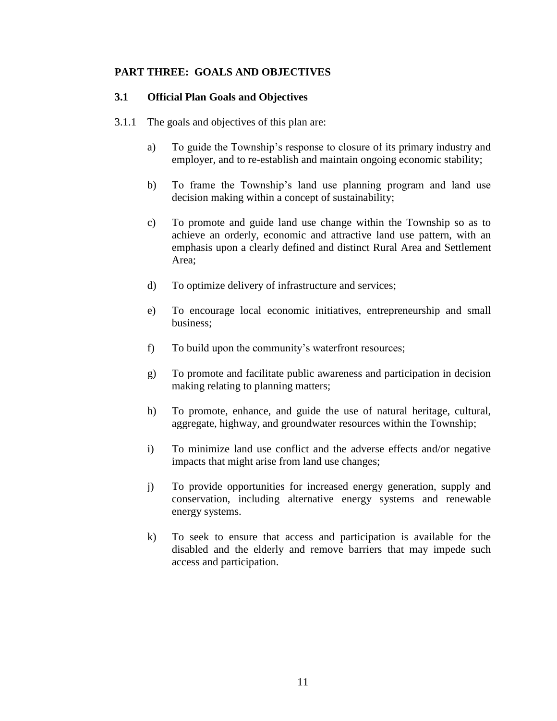## **PART THREE: GOALS AND OBJECTIVES**

#### **3.1 Official Plan Goals and Objectives**

- 3.1.1 The goals and objectives of this plan are:
	- a) To guide the Township's response to closure of its primary industry and employer, and to re-establish and maintain ongoing economic stability;
	- b) To frame the Township's land use planning program and land use decision making within a concept of sustainability;
	- c) To promote and guide land use change within the Township so as to achieve an orderly, economic and attractive land use pattern, with an emphasis upon a clearly defined and distinct Rural Area and Settlement Area;
	- d) To optimize delivery of infrastructure and services;
	- e) To encourage local economic initiatives, entrepreneurship and small business;
	- f) To build upon the community's waterfront resources;
	- g) To promote and facilitate public awareness and participation in decision making relating to planning matters;
	- h) To promote, enhance, and guide the use of natural heritage, cultural, aggregate, highway, and groundwater resources within the Township;
	- i) To minimize land use conflict and the adverse effects and/or negative impacts that might arise from land use changes;
	- j) To provide opportunities for increased energy generation, supply and conservation, including alternative energy systems and renewable energy systems.
	- k) To seek to ensure that access and participation is available for the disabled and the elderly and remove barriers that may impede such access and participation.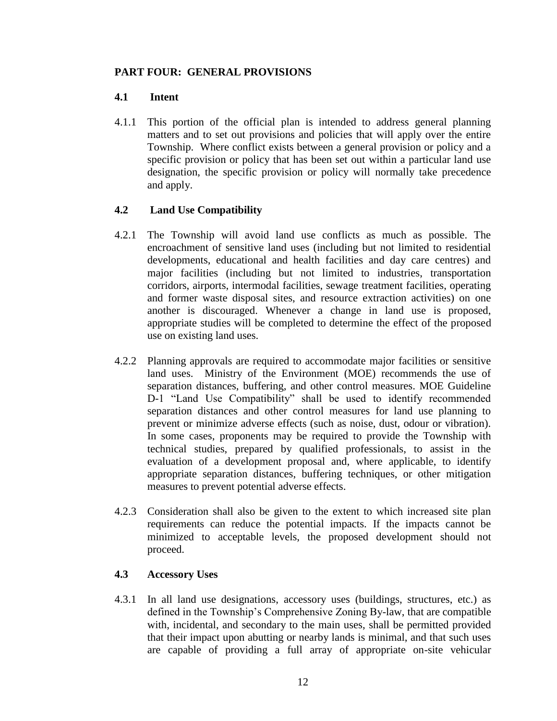## **PART FOUR: GENERAL PROVISIONS**

## **4.1 Intent**

4.1.1 This portion of the official plan is intended to address general planning matters and to set out provisions and policies that will apply over the entire Township. Where conflict exists between a general provision or policy and a specific provision or policy that has been set out within a particular land use designation, the specific provision or policy will normally take precedence and apply.

## **4.2 Land Use Compatibility**

- 4.2.1 The Township will avoid land use conflicts as much as possible. The encroachment of sensitive land uses (including but not limited to residential developments, educational and health facilities and day care centres) and major facilities (including but not limited to industries, transportation corridors, airports, intermodal facilities, sewage treatment facilities, operating and former waste disposal sites, and resource extraction activities) on one another is discouraged. Whenever a change in land use is proposed, appropriate studies will be completed to determine the effect of the proposed use on existing land uses.
- 4.2.2 Planning approvals are required to accommodate major facilities or sensitive land uses. Ministry of the Environment (MOE) recommends the use of separation distances, buffering, and other control measures. MOE Guideline D-1 "Land Use Compatibility" shall be used to identify recommended separation distances and other control measures for land use planning to prevent or minimize adverse effects (such as noise, dust, odour or vibration). In some cases, proponents may be required to provide the Township with technical studies, prepared by qualified professionals, to assist in the evaluation of a development proposal and, where applicable, to identify appropriate separation distances, buffering techniques, or other mitigation measures to prevent potential adverse effects.
- 4.2.3 Consideration shall also be given to the extent to which increased site plan requirements can reduce the potential impacts. If the impacts cannot be minimized to acceptable levels, the proposed development should not proceed.

## **4.3 Accessory Uses**

4.3.1 In all land use designations, accessory uses (buildings, structures, etc.) as defined in the Township's Comprehensive Zoning By-law, that are compatible with, incidental, and secondary to the main uses, shall be permitted provided that their impact upon abutting or nearby lands is minimal, and that such uses are capable of providing a full array of appropriate on-site vehicular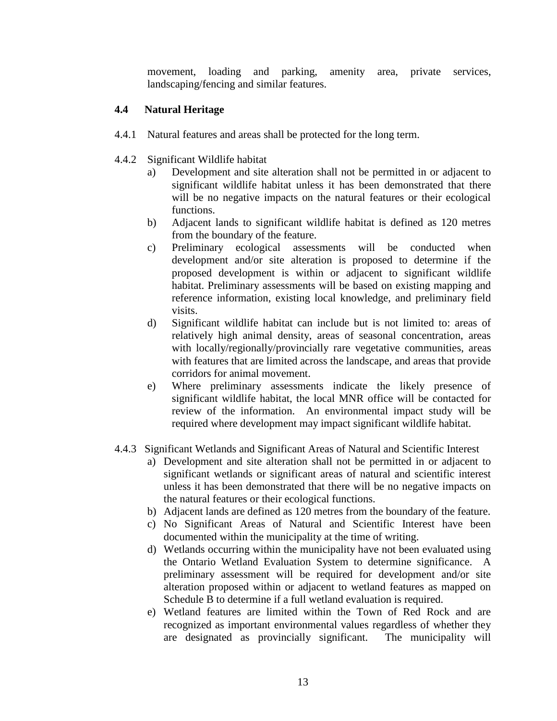movement, loading and parking, amenity area, private services, landscaping/fencing and similar features.

## **4.4 Natural Heritage**

- 4.4.1 Natural features and areas shall be protected for the long term.
- 4.4.2 Significant Wildlife habitat
	- a) Development and site alteration shall not be permitted in or adjacent to significant wildlife habitat unless it has been demonstrated that there will be no negative impacts on the natural features or their ecological functions.
	- b) Adjacent lands to significant wildlife habitat is defined as 120 metres from the boundary of the feature.
	- c) Preliminary ecological assessments will be conducted when development and/or site alteration is proposed to determine if the proposed development is within or adjacent to significant wildlife habitat. Preliminary assessments will be based on existing mapping and reference information, existing local knowledge, and preliminary field visits.
	- d) Significant wildlife habitat can include but is not limited to: areas of relatively high animal density, areas of seasonal concentration, areas with locally/regionally/provincially rare vegetative communities, areas with features that are limited across the landscape, and areas that provide corridors for animal movement.
	- e) Where preliminary assessments indicate the likely presence of significant wildlife habitat, the local MNR office will be contacted for review of the information. An environmental impact study will be required where development may impact significant wildlife habitat.
- 4.4.3 Significant Wetlands and Significant Areas of Natural and Scientific Interest
	- a) Development and site alteration shall not be permitted in or adjacent to significant wetlands or significant areas of natural and scientific interest unless it has been demonstrated that there will be no negative impacts on the natural features or their ecological functions.
	- b) Adjacent lands are defined as 120 metres from the boundary of the feature.
	- c) No Significant Areas of Natural and Scientific Interest have been documented within the municipality at the time of writing.
	- d) Wetlands occurring within the municipality have not been evaluated using the Ontario Wetland Evaluation System to determine significance. A preliminary assessment will be required for development and/or site alteration proposed within or adjacent to wetland features as mapped on Schedule B to determine if a full wetland evaluation is required.
	- e) Wetland features are limited within the Town of Red Rock and are recognized as important environmental values regardless of whether they are designated as provincially significant. The municipality will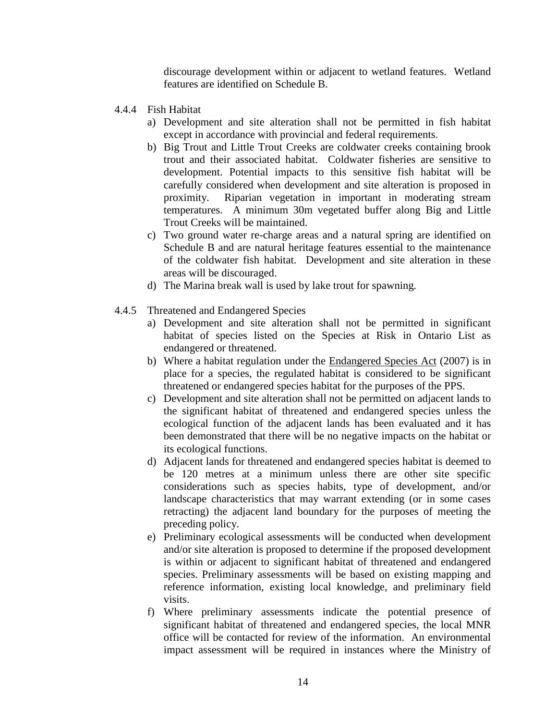discourage development within or adjacent to wetland features. Wetland features are identified on Schedule B.

- 4.4.4 Fish Habitat
	- a) Development and site alteration shall not be permitted in fish habitat except in accordance with provincial and federal requirements.
	- b) Big Trout and Little Trout Creeks are coldwater creeks containing brook trout and their associated habitat. Coldwater fisheries are sensitive to development. Potential impacts to this sensitive fish habitat will be carefully considered when development and site alteration is proposed in proximity. Riparian vegetation in important in moderating stream temperatures. A minimum 30m vegetated buffer along Big and Little Trout Creeks will be maintained.
	- c) Two ground water re-charge areas and a natural spring are identified on Schedule B and are natural heritage features essential to the maintenance of the coldwater fish habitat. Development and site alteration in these areas will be discouraged.
	- d) The Marina break wall is used by lake trout for spawning.
- 4.4.5 Threatened and Endangered Species
	- a) Development and site alteration shall not be permitted in significant habitat of species listed on the Species at Risk in Ontario List as endangered or threatened.
	- b) Where a habitat regulation under the Endangered Species Act (2007) is in place for a species, the regulated habitat is considered to be significant threatened or endangered species habitat for the purposes of the PPS.
	- c) Development and site alteration shall not be permitted on adjacent lands to the significant habitat of threatened and endangered species unless the ecological function of the adjacent lands has been evaluated and it has been demonstrated that there will be no negative impacts on the habitat or its ecological functions.
	- d) Adjacent lands for threatened and endangered species habitat is deemed to be 120 metres at a minimum unless there are other site specific considerations such as species habits, type of development, and/or landscape characteristics that may warrant extending (or in some cases retracting) the adjacent land boundary for the purposes of meeting the preceding policy.
	- e) Preliminary ecological assessments will be conducted when development and/or site alteration is proposed to determine if the proposed development is within or adjacent to significant habitat of threatened and endangered species. Preliminary assessments will be based on existing mapping and reference information, existing local knowledge, and preliminary field visits.
	- f) Where preliminary assessments indicate the potential presence of significant habitat of threatened and endangered species, the local MNR office will be contacted for review of the information. An environmental impact assessment will be required in instances where the Ministry of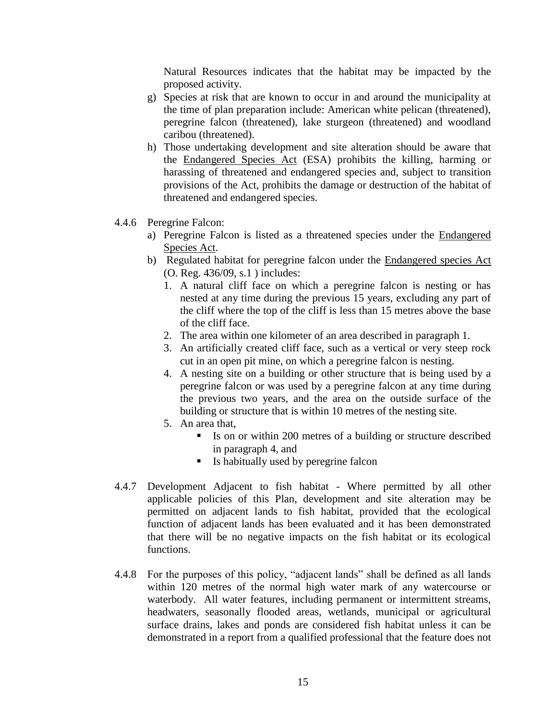Natural Resources indicates that the habitat may be impacted by the proposed activity.

- g) Species at risk that are known to occur in and around the municipality at the time of plan preparation include: American white pelican (threatened), peregrine falcon (threatened), lake sturgeon (threatened) and woodland caribou (threatened).
- h) Those undertaking development and site alteration should be aware that the Endangered Species Act (ESA) prohibits the killing, harming or harassing of threatened and endangered species and, subject to transition provisions of the Act, prohibits the damage or destruction of the habitat of threatened and endangered species.
- 4.4.6 Peregrine Falcon:
	- a) Peregrine Falcon is listed as a threatened species under the Endangered Species Act.
	- b) Regulated habitat for peregrine falcon under the Endangered species Act (O. Reg. 436/09, s.1 ) includes:
		- 1. A natural cliff face on which a peregrine falcon is nesting or has nested at any time during the previous 15 years, excluding any part of the cliff where the top of the cliff is less than 15 metres above the base of the cliff face.
		- 2. The area within one kilometer of an area described in paragraph 1.
		- 3. An artificially created cliff face, such as a vertical or very steep rock cut in an open pit mine, on which a peregrine falcon is nesting.
		- 4. A nesting site on a building or other structure that is being used by a peregrine falcon or was used by a peregrine falcon at any time during the previous two years, and the area on the outside surface of the building or structure that is within 10 metres of the nesting site.
		- 5. An area that,
			- Is on or within 200 metres of a building or structure described in paragraph 4, and
			- Is habitually used by peregrine falcon
- 4.4.7 Development Adjacent to fish habitat Where permitted by all other applicable policies of this Plan, development and site alteration may be permitted on adjacent lands to fish habitat, provided that the ecological function of adjacent lands has been evaluated and it has been demonstrated that there will be no negative impacts on the fish habitat or its ecological functions.
- 4.4.8 For the purposes of this policy, "adjacent lands" shall be defined as all lands within 120 metres of the normal high water mark of any watercourse or waterbody. All water features, including permanent or intermittent streams, headwaters, seasonally flooded areas, wetlands, municipal or agricultural surface drains, lakes and ponds are considered fish habitat unless it can be demonstrated in a report from a qualified professional that the feature does not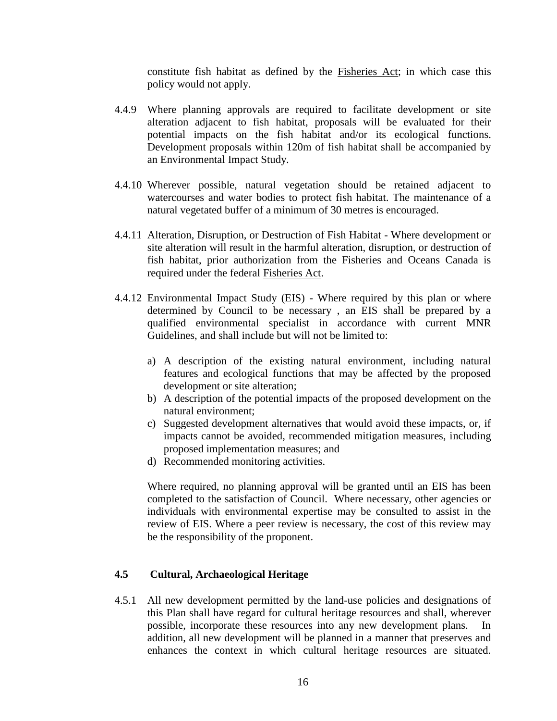constitute fish habitat as defined by the Fisheries Act; in which case this policy would not apply.

- 4.4.9 Where planning approvals are required to facilitate development or site alteration adjacent to fish habitat, proposals will be evaluated for their potential impacts on the fish habitat and/or its ecological functions. Development proposals within 120m of fish habitat shall be accompanied by an Environmental Impact Study.
- 4.4.10 Wherever possible, natural vegetation should be retained adjacent to watercourses and water bodies to protect fish habitat. The maintenance of a natural vegetated buffer of a minimum of 30 metres is encouraged.
- 4.4.11 Alteration, Disruption, or Destruction of Fish Habitat Where development or site alteration will result in the harmful alteration, disruption, or destruction of fish habitat, prior authorization from the Fisheries and Oceans Canada is required under the federal Fisheries Act.
- 4.4.12 Environmental Impact Study (EIS) Where required by this plan or where determined by Council to be necessary , an EIS shall be prepared by a qualified environmental specialist in accordance with current MNR Guidelines, and shall include but will not be limited to:
	- a) A description of the existing natural environment, including natural features and ecological functions that may be affected by the proposed development or site alteration;
	- b) A description of the potential impacts of the proposed development on the natural environment;
	- c) Suggested development alternatives that would avoid these impacts, or, if impacts cannot be avoided, recommended mitigation measures, including proposed implementation measures; and
	- d) Recommended monitoring activities.

Where required, no planning approval will be granted until an EIS has been completed to the satisfaction of Council. Where necessary, other agencies or individuals with environmental expertise may be consulted to assist in the review of EIS. Where a peer review is necessary, the cost of this review may be the responsibility of the proponent.

#### **4.5 Cultural, Archaeological Heritage**

4.5.1 All new development permitted by the land-use policies and designations of this Plan shall have regard for cultural heritage resources and shall, wherever possible, incorporate these resources into any new development plans. addition, all new development will be planned in a manner that preserves and enhances the context in which cultural heritage resources are situated.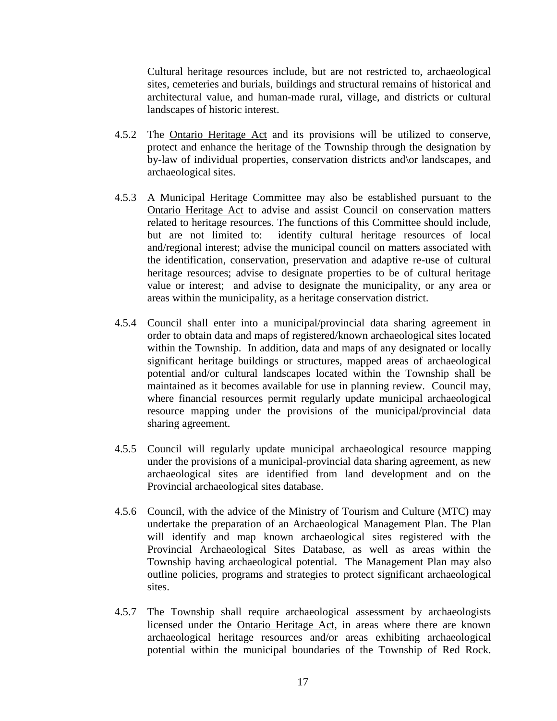Cultural heritage resources include, but are not restricted to, archaeological sites, cemeteries and burials, buildings and structural remains of historical and architectural value, and human-made rural, village, and districts or cultural landscapes of historic interest.

- 4.5.2 The Ontario Heritage Act and its provisions will be utilized to conserve, protect and enhance the heritage of the Township through the designation by by-law of individual properties, conservation districts and\or landscapes, and archaeological sites.
- 4.5.3 A Municipal Heritage Committee may also be established pursuant to the Ontario Heritage Act to advise and assist Council on conservation matters related to heritage resources. The functions of this Committee should include, but are not limited to: identify cultural heritage resources of local and/regional interest; advise the municipal council on matters associated with the identification, conservation, preservation and adaptive re-use of cultural heritage resources; advise to designate properties to be of cultural heritage value or interest; and advise to designate the municipality, or any area or areas within the municipality, as a heritage conservation district.
- 4.5.4 Council shall enter into a municipal/provincial data sharing agreement in order to obtain data and maps of registered/known archaeological sites located within the Township. In addition, data and maps of any designated or locally significant heritage buildings or structures, mapped areas of archaeological potential and/or cultural landscapes located within the Township shall be maintained as it becomes available for use in planning review. Council may, where financial resources permit regularly update municipal archaeological resource mapping under the provisions of the municipal/provincial data sharing agreement.
- 4.5.5 Council will regularly update municipal archaeological resource mapping under the provisions of a municipal-provincial data sharing agreement, as new archaeological sites are identified from land development and on the Provincial archaeological sites database.
- 4.5.6 Council, with the advice of the Ministry of Tourism and Culture (MTC) may undertake the preparation of an Archaeological Management Plan. The Plan will identify and map known archaeological sites registered with the Provincial Archaeological Sites Database, as well as areas within the Township having archaeological potential. The Management Plan may also outline policies, programs and strategies to protect significant archaeological sites.
- 4.5.7 The Township shall require archaeological assessment by archaeologists licensed under the Ontario Heritage Act, in areas where there are known archaeological heritage resources and/or areas exhibiting archaeological potential within the municipal boundaries of the Township of Red Rock.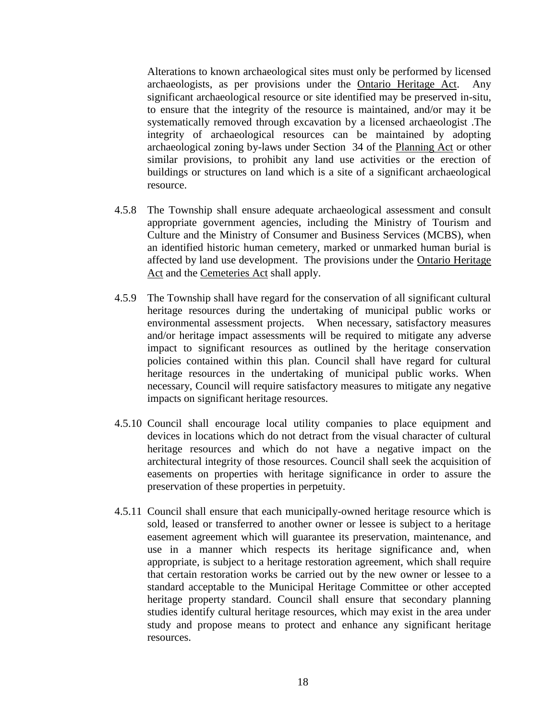Alterations to known archaeological sites must only be performed by licensed archaeologists, as per provisions under the Ontario Heritage Act. Any significant archaeological resource or site identified may be preserved in-situ, to ensure that the integrity of the resource is maintained, and/or may it be systematically removed through excavation by a licensed archaeologist .The integrity of archaeological resources can be maintained by adopting archaeological zoning by-laws under Section 34 of the Planning Act or other similar provisions, to prohibit any land use activities or the erection of buildings or structures on land which is a site of a significant archaeological resource.

- 4.5.8 The Township shall ensure adequate archaeological assessment and consult appropriate government agencies, including the Ministry of Tourism and Culture and the Ministry of Consumer and Business Services (MCBS), when an identified historic human cemetery, marked or unmarked human burial is affected by land use development. The provisions under the Ontario Heritage Act and the Cemeteries Act shall apply.
- 4.5.9 The Township shall have regard for the conservation of all significant cultural heritage resources during the undertaking of municipal public works or environmental assessment projects. When necessary, satisfactory measures and/or heritage impact assessments will be required to mitigate any adverse impact to significant resources as outlined by the heritage conservation policies contained within this plan. Council shall have regard for cultural heritage resources in the undertaking of municipal public works. When necessary, Council will require satisfactory measures to mitigate any negative impacts on significant heritage resources.
- 4.5.10 Council shall encourage local utility companies to place equipment and devices in locations which do not detract from the visual character of cultural heritage resources and which do not have a negative impact on the architectural integrity of those resources. Council shall seek the acquisition of easements on properties with heritage significance in order to assure the preservation of these properties in perpetuity.
- 4.5.11 Council shall ensure that each municipally-owned heritage resource which is sold, leased or transferred to another owner or lessee is subject to a heritage easement agreement which will guarantee its preservation, maintenance, and use in a manner which respects its heritage significance and, when appropriate, is subject to a heritage restoration agreement, which shall require that certain restoration works be carried out by the new owner or lessee to a standard acceptable to the Municipal Heritage Committee or other accepted heritage property standard. Council shall ensure that secondary planning studies identify cultural heritage resources, which may exist in the area under study and propose means to protect and enhance any significant heritage resources.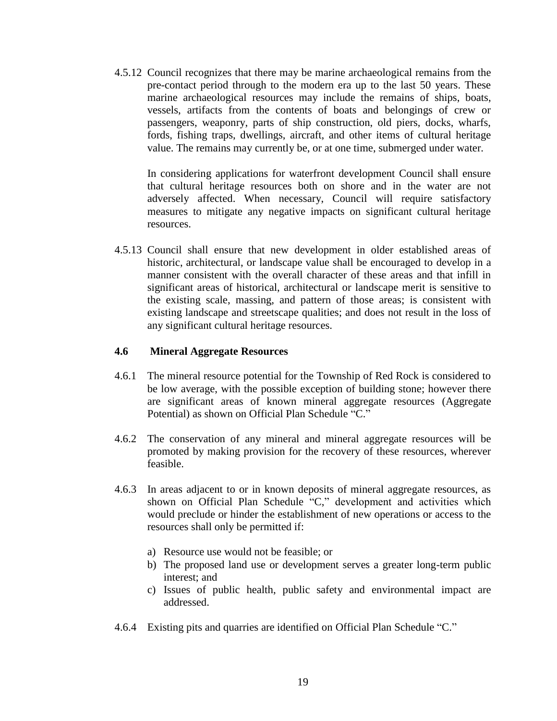4.5.12 Council recognizes that there may be marine archaeological remains from the pre-contact period through to the modern era up to the last 50 years. These marine archaeological resources may include the remains of ships, boats, vessels, artifacts from the contents of boats and belongings of crew or passengers, weaponry, parts of ship construction, old piers, docks, wharfs, fords, fishing traps, dwellings, aircraft, and other items of cultural heritage value. The remains may currently be, or at one time, submerged under water.

In considering applications for waterfront development Council shall ensure that cultural heritage resources both on shore and in the water are not adversely affected. When necessary, Council will require satisfactory measures to mitigate any negative impacts on significant cultural heritage resources.

4.5.13 Council shall ensure that new development in older established areas of historic, architectural, or landscape value shall be encouraged to develop in a manner consistent with the overall character of these areas and that infill in significant areas of historical, architectural or landscape merit is sensitive to the existing scale, massing, and pattern of those areas; is consistent with existing landscape and streetscape qualities; and does not result in the loss of any significant cultural heritage resources.

#### **4.6 Mineral Aggregate Resources**

- 4.6.1 The mineral resource potential for the Township of Red Rock is considered to be low average, with the possible exception of building stone; however there are significant areas of known mineral aggregate resources (Aggregate Potential) as shown on Official Plan Schedule "C."
- 4.6.2 The conservation of any mineral and mineral aggregate resources will be promoted by making provision for the recovery of these resources, wherever feasible.
- 4.6.3 In areas adjacent to or in known deposits of mineral aggregate resources, as shown on Official Plan Schedule "C," development and activities which would preclude or hinder the establishment of new operations or access to the resources shall only be permitted if:
	- a) Resource use would not be feasible; or
	- b) The proposed land use or development serves a greater long-term public interest; and
	- c) Issues of public health, public safety and environmental impact are addressed.
- 4.6.4 Existing pits and quarries are identified on Official Plan Schedule "C."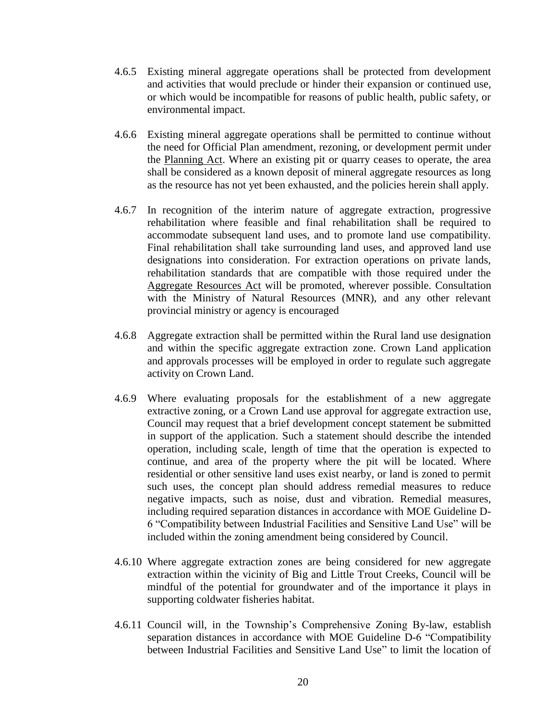- 4.6.5 Existing mineral aggregate operations shall be protected from development and activities that would preclude or hinder their expansion or continued use, or which would be incompatible for reasons of public health, public safety, or environmental impact.
- 4.6.6 Existing mineral aggregate operations shall be permitted to continue without the need for Official Plan amendment, rezoning, or development permit under the Planning Act. Where an existing pit or quarry ceases to operate, the area shall be considered as a known deposit of mineral aggregate resources as long as the resource has not yet been exhausted, and the policies herein shall apply.
- 4.6.7 In recognition of the interim nature of aggregate extraction, progressive rehabilitation where feasible and final rehabilitation shall be required to accommodate subsequent land uses, and to promote land use compatibility. Final rehabilitation shall take surrounding land uses, and approved land use designations into consideration. For extraction operations on private lands, rehabilitation standards that are compatible with those required under the Aggregate Resources Act will be promoted, wherever possible. Consultation with the Ministry of Natural Resources (MNR), and any other relevant provincial ministry or agency is encouraged
- 4.6.8 Aggregate extraction shall be permitted within the Rural land use designation and within the specific aggregate extraction zone. Crown Land application and approvals processes will be employed in order to regulate such aggregate activity on Crown Land.
- 4.6.9 Where evaluating proposals for the establishment of a new aggregate extractive zoning, or a Crown Land use approval for aggregate extraction use, Council may request that a brief development concept statement be submitted in support of the application. Such a statement should describe the intended operation, including scale, length of time that the operation is expected to continue, and area of the property where the pit will be located. Where residential or other sensitive land uses exist nearby, or land is zoned to permit such uses, the concept plan should address remedial measures to reduce negative impacts, such as noise, dust and vibration. Remedial measures, including required separation distances in accordance with MOE Guideline D-6 "Compatibility between Industrial Facilities and Sensitive Land Use" will be included within the zoning amendment being considered by Council.
- 4.6.10 Where aggregate extraction zones are being considered for new aggregate extraction within the vicinity of Big and Little Trout Creeks, Council will be mindful of the potential for groundwater and of the importance it plays in supporting coldwater fisheries habitat.
- 4.6.11 Council will, in the Township's Comprehensive Zoning By-law, establish separation distances in accordance with MOE Guideline D-6 "Compatibility between Industrial Facilities and Sensitive Land Use" to limit the location of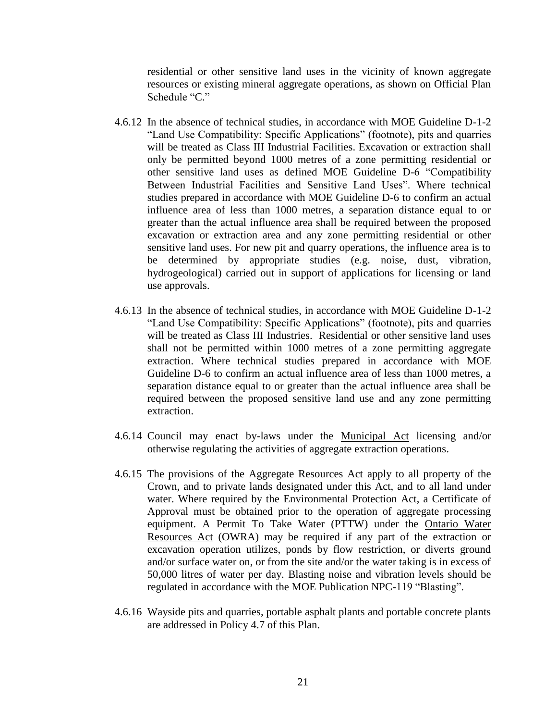residential or other sensitive land uses in the vicinity of known aggregate resources or existing mineral aggregate operations, as shown on Official Plan Schedule "C."

- 4.6.12 In the absence of technical studies, in accordance with MOE Guideline D-1-2 "Land Use Compatibility: Specific Applications" (footnote), pits and quarries will be treated as Class III Industrial Facilities. Excavation or extraction shall only be permitted beyond 1000 metres of a zone permitting residential or other sensitive land uses as defined MOE Guideline D-6 "Compatibility Between Industrial Facilities and Sensitive Land Uses". Where technical studies prepared in accordance with MOE Guideline D-6 to confirm an actual influence area of less than 1000 metres, a separation distance equal to or greater than the actual influence area shall be required between the proposed excavation or extraction area and any zone permitting residential or other sensitive land uses. For new pit and quarry operations, the influence area is to be determined by appropriate studies (e.g. noise, dust, vibration, hydrogeological) carried out in support of applications for licensing or land use approvals.
- 4.6.13 In the absence of technical studies, in accordance with MOE Guideline D-1-2 "Land Use Compatibility: Specific Applications" (footnote), pits and quarries will be treated as Class III Industries. Residential or other sensitive land uses shall not be permitted within 1000 metres of a zone permitting aggregate extraction. Where technical studies prepared in accordance with MOE Guideline D-6 to confirm an actual influence area of less than 1000 metres, a separation distance equal to or greater than the actual influence area shall be required between the proposed sensitive land use and any zone permitting extraction.
- 4.6.14 Council may enact by-laws under the Municipal Act licensing and/or otherwise regulating the activities of aggregate extraction operations.
- 4.6.15 The provisions of the Aggregate Resources Act apply to all property of the Crown, and to private lands designated under this Act, and to all land under water. Where required by the Environmental Protection Act, a Certificate of Approval must be obtained prior to the operation of aggregate processing equipment. A Permit To Take Water (PTTW) under the Ontario Water Resources Act (OWRA) may be required if any part of the extraction or excavation operation utilizes, ponds by flow restriction, or diverts ground and/or surface water on, or from the site and/or the water taking is in excess of 50,000 litres of water per day. Blasting noise and vibration levels should be regulated in accordance with the MOE Publication NPC-119 "Blasting".
- 4.6.16 Wayside pits and quarries, portable asphalt plants and portable concrete plants are addressed in Policy 4.7 of this Plan.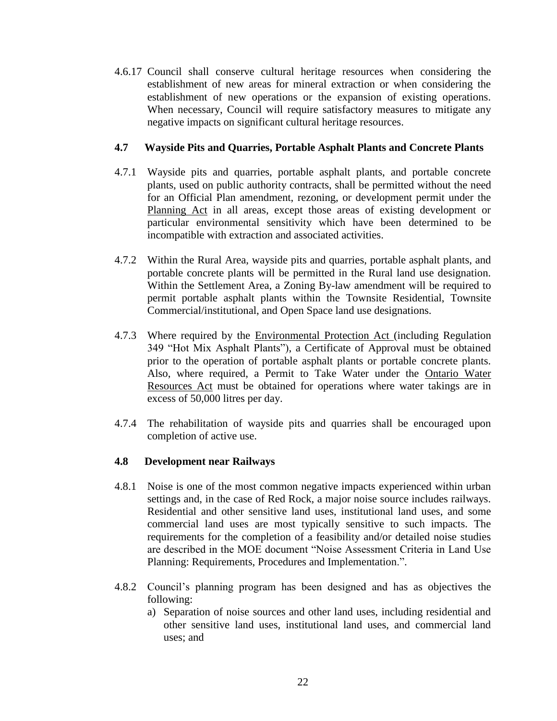4.6.17 Council shall conserve cultural heritage resources when considering the establishment of new areas for mineral extraction or when considering the establishment of new operations or the expansion of existing operations. When necessary, Council will require satisfactory measures to mitigate any negative impacts on significant cultural heritage resources.

## **4.7 Wayside Pits and Quarries, Portable Asphalt Plants and Concrete Plants**

- 4.7.1 Wayside pits and quarries, portable asphalt plants, and portable concrete plants, used on public authority contracts, shall be permitted without the need for an Official Plan amendment, rezoning, or development permit under the Planning Act in all areas, except those areas of existing development or particular environmental sensitivity which have been determined to be incompatible with extraction and associated activities.
- 4.7.2 Within the Rural Area, wayside pits and quarries, portable asphalt plants, and portable concrete plants will be permitted in the Rural land use designation. Within the Settlement Area, a Zoning By-law amendment will be required to permit portable asphalt plants within the Townsite Residential, Townsite Commercial/institutional, and Open Space land use designations.
- 4.7.3 Where required by the Environmental Protection Act (including Regulation 349 "Hot Mix Asphalt Plants"), a Certificate of Approval must be obtained prior to the operation of portable asphalt plants or portable concrete plants. Also, where required, a Permit to Take Water under the Ontario Water Resources Act must be obtained for operations where water takings are in excess of 50,000 litres per day.
- 4.7.4 The rehabilitation of wayside pits and quarries shall be encouraged upon completion of active use.

## **4.8 Development near Railways**

- 4.8.1 Noise is one of the most common negative impacts experienced within urban settings and, in the case of Red Rock, a major noise source includes railways. Residential and other sensitive land uses, institutional land uses, and some commercial land uses are most typically sensitive to such impacts. The requirements for the completion of a feasibility and/or detailed noise studies are described in the MOE document "Noise Assessment Criteria in Land Use Planning: Requirements, Procedures and Implementation.".
- 4.8.2 Council's planning program has been designed and has as objectives the following:
	- a) Separation of noise sources and other land uses, including residential and other sensitive land uses, institutional land uses, and commercial land uses; and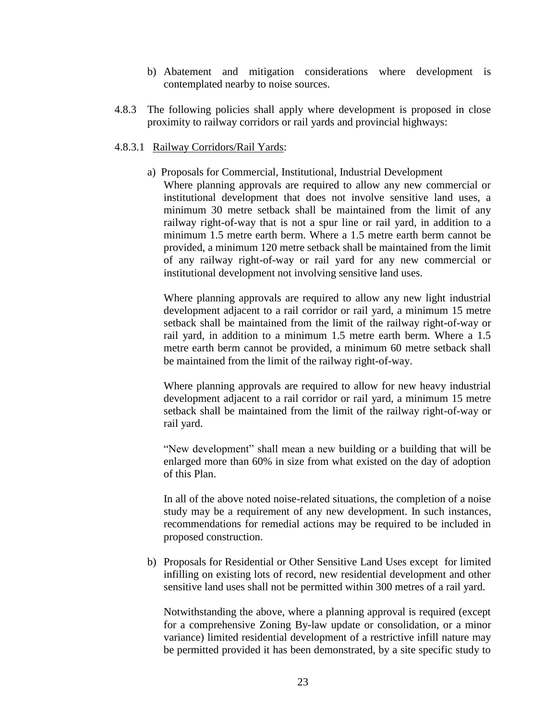- b) Abatement and mitigation considerations where development is contemplated nearby to noise sources.
- 4.8.3 The following policies shall apply where development is proposed in close proximity to railway corridors or rail yards and provincial highways:

#### 4.8.3.1 Railway Corridors/Rail Yards:

a) Proposals for Commercial, Institutional, Industrial Development Where planning approvals are required to allow any new commercial or institutional development that does not involve sensitive land uses, a minimum 30 metre setback shall be maintained from the limit of any railway right-of-way that is not a spur line or rail yard, in addition to a minimum 1.5 metre earth berm. Where a 1.5 metre earth berm cannot be provided, a minimum 120 metre setback shall be maintained from the limit of any railway right-of-way or rail yard for any new commercial or institutional development not involving sensitive land uses.

Where planning approvals are required to allow any new light industrial development adjacent to a rail corridor or rail yard, a minimum 15 metre setback shall be maintained from the limit of the railway right-of-way or rail yard, in addition to a minimum 1.5 metre earth berm. Where a 1.5 metre earth berm cannot be provided, a minimum 60 metre setback shall be maintained from the limit of the railway right-of-way.

Where planning approvals are required to allow for new heavy industrial development adjacent to a rail corridor or rail yard, a minimum 15 metre setback shall be maintained from the limit of the railway right-of-way or rail yard.

"New development" shall mean a new building or a building that will be enlarged more than 60% in size from what existed on the day of adoption of this Plan.

In all of the above noted noise-related situations, the completion of a noise study may be a requirement of any new development. In such instances, recommendations for remedial actions may be required to be included in proposed construction.

b) Proposals for Residential or Other Sensitive Land Uses except for limited infilling on existing lots of record, new residential development and other sensitive land uses shall not be permitted within 300 metres of a rail yard.

Notwithstanding the above, where a planning approval is required (except for a comprehensive Zoning By-law update or consolidation, or a minor variance) limited residential development of a restrictive infill nature may be permitted provided it has been demonstrated, by a site specific study to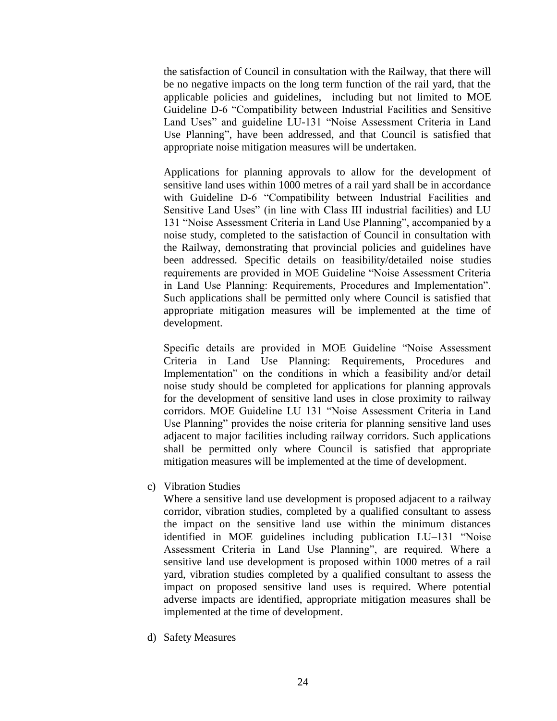the satisfaction of Council in consultation with the Railway, that there will be no negative impacts on the long term function of the rail yard, that the applicable policies and guidelines, including but not limited to MOE Guideline D-6 "Compatibility between Industrial Facilities and Sensitive Land Uses" and guideline LU-131 "Noise Assessment Criteria in Land Use Planning", have been addressed, and that Council is satisfied that appropriate noise mitigation measures will be undertaken.

Applications for planning approvals to allow for the development of sensitive land uses within 1000 metres of a rail yard shall be in accordance with Guideline D-6 "Compatibility between Industrial Facilities and Sensitive Land Uses" (in line with Class III industrial facilities) and LU 131 "Noise Assessment Criteria in Land Use Planning", accompanied by a noise study, completed to the satisfaction of Council in consultation with the Railway, demonstrating that provincial policies and guidelines have been addressed. Specific details on feasibility/detailed noise studies requirements are provided in MOE Guideline "Noise Assessment Criteria in Land Use Planning: Requirements, Procedures and Implementation". Such applications shall be permitted only where Council is satisfied that appropriate mitigation measures will be implemented at the time of development.

Specific details are provided in MOE Guideline "Noise Assessment Criteria in Land Use Planning: Requirements, Procedures and Implementation" on the conditions in which a feasibility and/or detail noise study should be completed for applications for planning approvals for the development of sensitive land uses in close proximity to railway corridors. MOE Guideline LU 131 "Noise Assessment Criteria in Land Use Planning" provides the noise criteria for planning sensitive land uses adjacent to major facilities including railway corridors. Such applications shall be permitted only where Council is satisfied that appropriate mitigation measures will be implemented at the time of development.

c) Vibration Studies

Where a sensitive land use development is proposed adjacent to a railway corridor, vibration studies, completed by a qualified consultant to assess the impact on the sensitive land use within the minimum distances identified in MOE guidelines including publication LU–131 "Noise Assessment Criteria in Land Use Planning", are required. Where a sensitive land use development is proposed within 1000 metres of a rail yard, vibration studies completed by a qualified consultant to assess the impact on proposed sensitive land uses is required. Where potential adverse impacts are identified, appropriate mitigation measures shall be implemented at the time of development.

d) Safety Measures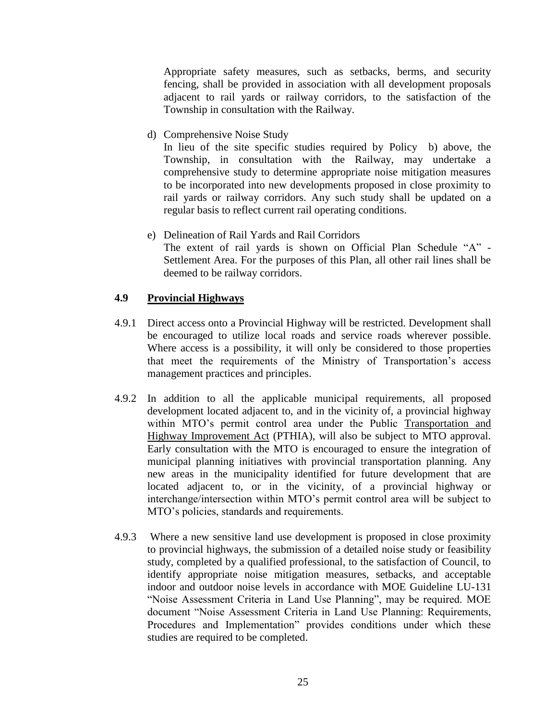Appropriate safety measures, such as setbacks, berms, and security fencing, shall be provided in association with all development proposals adjacent to rail yards or railway corridors, to the satisfaction of the Township in consultation with the Railway.

d) Comprehensive Noise Study

In lieu of the site specific studies required by Policy b) above, the Township, in consultation with the Railway, may undertake a comprehensive study to determine appropriate noise mitigation measures to be incorporated into new developments proposed in close proximity to rail yards or railway corridors. Any such study shall be updated on a regular basis to reflect current rail operating conditions.

e) Delineation of Rail Yards and Rail Corridors The extent of rail yards is shown on Official Plan Schedule "A" - Settlement Area. For the purposes of this Plan, all other rail lines shall be deemed to be railway corridors.

## **4.9 Provincial Highways**

- 4.9.1 Direct access onto a Provincial Highway will be restricted. Development shall be encouraged to utilize local roads and service roads wherever possible. Where access is a possibility, it will only be considered to those properties that meet the requirements of the Ministry of Transportation's access management practices and principles.
- 4.9.2 In addition to all the applicable municipal requirements, all proposed development located adjacent to, and in the vicinity of, a provincial highway within MTO's permit control area under the Public Transportation and Highway Improvement Act (PTHIA), will also be subject to MTO approval. Early consultation with the MTO is encouraged to ensure the integration of municipal planning initiatives with provincial transportation planning. Any new areas in the municipality identified for future development that are located adjacent to, or in the vicinity, of a provincial highway or interchange/intersection within MTO's permit control area will be subject to MTO's policies, standards and requirements.
- 4.9.3 Where a new sensitive land use development is proposed in close proximity to provincial highways, the submission of a detailed noise study or feasibility study, completed by a qualified professional, to the satisfaction of Council, to identify appropriate noise mitigation measures, setbacks, and acceptable indoor and outdoor noise levels in accordance with MOE Guideline LU-131 "Noise Assessment Criteria in Land Use Planning", may be required. MOE document "Noise Assessment Criteria in Land Use Planning: Requirements, Procedures and Implementation" provides conditions under which these studies are required to be completed.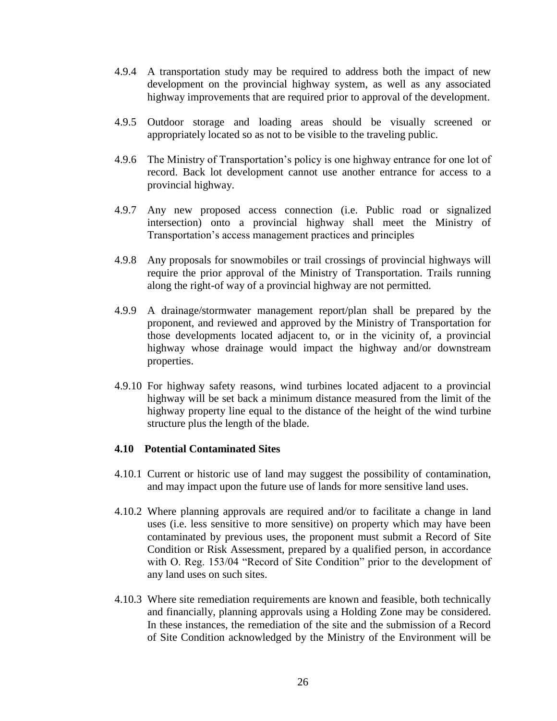- 4.9.4 A transportation study may be required to address both the impact of new development on the provincial highway system, as well as any associated highway improvements that are required prior to approval of the development.
- 4.9.5 Outdoor storage and loading areas should be visually screened or appropriately located so as not to be visible to the traveling public.
- 4.9.6 The Ministry of Transportation's policy is one highway entrance for one lot of record. Back lot development cannot use another entrance for access to a provincial highway.
- 4.9.7 Any new proposed access connection (i.e. Public road or signalized intersection) onto a provincial highway shall meet the Ministry of Transportation's access management practices and principles
- 4.9.8 Any proposals for snowmobiles or trail crossings of provincial highways will require the prior approval of the Ministry of Transportation. Trails running along the right-of way of a provincial highway are not permitted.
- 4.9.9 A drainage/stormwater management report/plan shall be prepared by the proponent, and reviewed and approved by the Ministry of Transportation for those developments located adjacent to, or in the vicinity of, a provincial highway whose drainage would impact the highway and/or downstream properties.
- 4.9.10 For highway safety reasons, wind turbines located adjacent to a provincial highway will be set back a minimum distance measured from the limit of the highway property line equal to the distance of the height of the wind turbine structure plus the length of the blade.

#### **4.10 Potential Contaminated Sites**

- 4.10.1 Current or historic use of land may suggest the possibility of contamination, and may impact upon the future use of lands for more sensitive land uses.
- 4.10.2 Where planning approvals are required and/or to facilitate a change in land uses (i.e. less sensitive to more sensitive) on property which may have been contaminated by previous uses, the proponent must submit a Record of Site Condition or Risk Assessment, prepared by a qualified person, in accordance with O. Reg. 153/04 "Record of Site Condition" prior to the development of any land uses on such sites.
- 4.10.3 Where site remediation requirements are known and feasible, both technically and financially, planning approvals using a Holding Zone may be considered. In these instances, the remediation of the site and the submission of a Record of Site Condition acknowledged by the Ministry of the Environment will be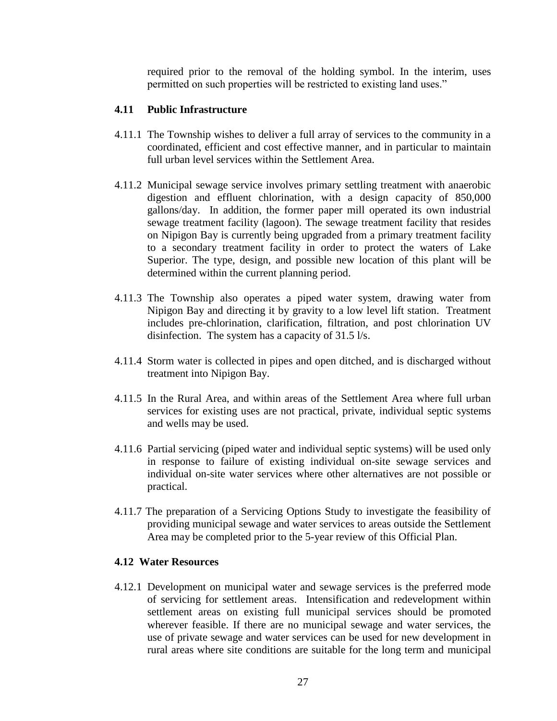required prior to the removal of the holding symbol. In the interim, uses permitted on such properties will be restricted to existing land uses."

#### **4.11 Public Infrastructure**

- 4.11.1 The Township wishes to deliver a full array of services to the community in a coordinated, efficient and cost effective manner, and in particular to maintain full urban level services within the Settlement Area.
- 4.11.2 Municipal sewage service involves primary settling treatment with anaerobic digestion and effluent chlorination, with a design capacity of 850,000 gallons/day. In addition, the former paper mill operated its own industrial sewage treatment facility (lagoon). The sewage treatment facility that resides on Nipigon Bay is currently being upgraded from a primary treatment facility to a secondary treatment facility in order to protect the waters of Lake Superior. The type, design, and possible new location of this plant will be determined within the current planning period.
- 4.11.3 The Township also operates a piped water system, drawing water from Nipigon Bay and directing it by gravity to a low level lift station. Treatment includes pre-chlorination, clarification, filtration, and post chlorination UV disinfection. The system has a capacity of 31.5 l/s.
- 4.11.4 Storm water is collected in pipes and open ditched, and is discharged without treatment into Nipigon Bay.
- 4.11.5 In the Rural Area, and within areas of the Settlement Area where full urban services for existing uses are not practical, private, individual septic systems and wells may be used.
- 4.11.6 Partial servicing (piped water and individual septic systems) will be used only in response to failure of existing individual on-site sewage services and individual on-site water services where other alternatives are not possible or practical.
- 4.11.7 The preparation of a Servicing Options Study to investigate the feasibility of providing municipal sewage and water services to areas outside the Settlement Area may be completed prior to the 5-year review of this Official Plan.

#### **4.12 Water Resources**

4.12.1 Development on municipal water and sewage services is the preferred mode of servicing for settlement areas. Intensification and redevelopment within settlement areas on existing full municipal services should be promoted wherever feasible. If there are no municipal sewage and water services, the use of private sewage and water services can be used for new development in rural areas where site conditions are suitable for the long term and municipal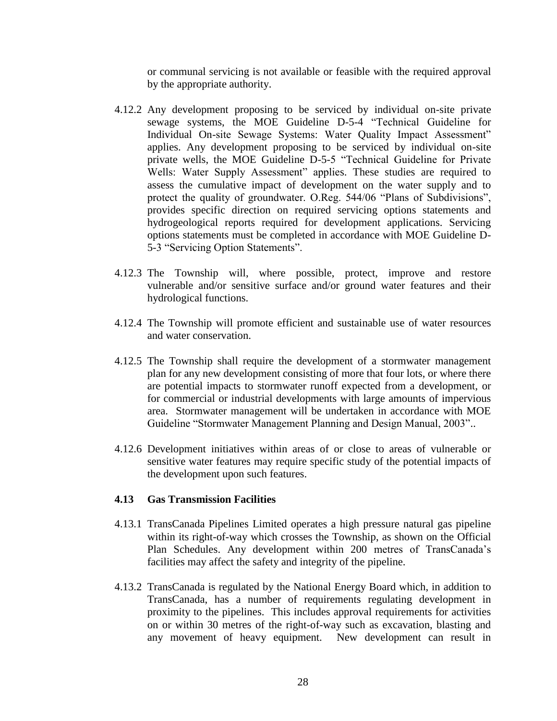or communal servicing is not available or feasible with the required approval by the appropriate authority.

- 4.12.2 Any development proposing to be serviced by individual on-site private sewage systems, the MOE Guideline D-5-4 "Technical Guideline for Individual On-site Sewage Systems: Water Quality Impact Assessment" applies. Any development proposing to be serviced by individual on-site private wells, the MOE Guideline D-5-5 "Technical Guideline for Private Wells: Water Supply Assessment" applies. These studies are required to assess the cumulative impact of development on the water supply and to protect the quality of groundwater. O.Reg. 544/06 "Plans of Subdivisions", provides specific direction on required servicing options statements and hydrogeological reports required for development applications. Servicing options statements must be completed in accordance with MOE Guideline D-5-3 "Servicing Option Statements".
- 4.12.3 The Township will, where possible, protect, improve and restore vulnerable and/or sensitive surface and/or ground water features and their hydrological functions.
- 4.12.4 The Township will promote efficient and sustainable use of water resources and water conservation.
- 4.12.5 The Township shall require the development of a stormwater management plan for any new development consisting of more that four lots, or where there are potential impacts to stormwater runoff expected from a development, or for commercial or industrial developments with large amounts of impervious area. Stormwater management will be undertaken in accordance with MOE Guideline "Stormwater Management Planning and Design Manual, 2003"..
- 4.12.6 Development initiatives within areas of or close to areas of vulnerable or sensitive water features may require specific study of the potential impacts of the development upon such features.

#### **4.13 Gas Transmission Facilities**

- 4.13.1 TransCanada Pipelines Limited operates a high pressure natural gas pipeline within its right-of-way which crosses the Township, as shown on the Official Plan Schedules. Any development within 200 metres of TransCanada's facilities may affect the safety and integrity of the pipeline.
- 4.13.2 TransCanada is regulated by the National Energy Board which, in addition to TransCanada, has a number of requirements regulating development in proximity to the pipelines. This includes approval requirements for activities on or within 30 metres of the right-of-way such as excavation, blasting and any movement of heavy equipment. New development can result in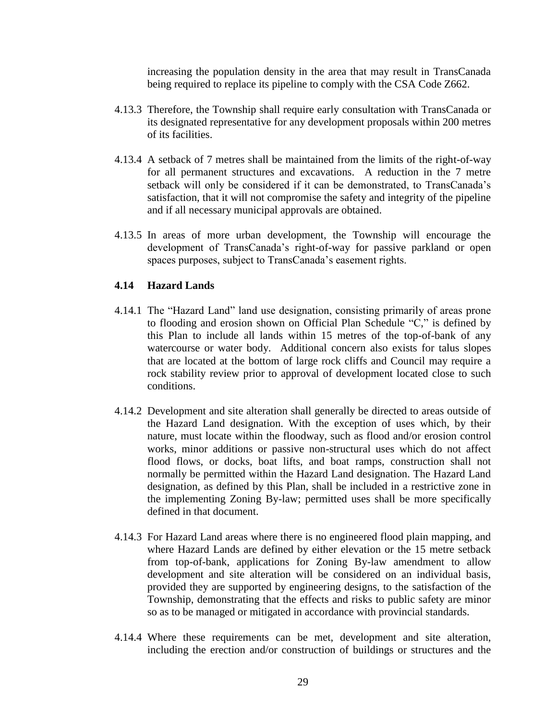increasing the population density in the area that may result in TransCanada being required to replace its pipeline to comply with the CSA Code Z662.

- 4.13.3 Therefore, the Township shall require early consultation with TransCanada or its designated representative for any development proposals within 200 metres of its facilities.
- 4.13.4 A setback of 7 metres shall be maintained from the limits of the right-of-way for all permanent structures and excavations. A reduction in the 7 metre setback will only be considered if it can be demonstrated, to TransCanada's satisfaction, that it will not compromise the safety and integrity of the pipeline and if all necessary municipal approvals are obtained.
- 4.13.5 In areas of more urban development, the Township will encourage the development of TransCanada's right-of-way for passive parkland or open spaces purposes, subject to TransCanada's easement rights.

## **4.14 Hazard Lands**

- 4.14.1 The "Hazard Land" land use designation, consisting primarily of areas prone to flooding and erosion shown on Official Plan Schedule "C," is defined by this Plan to include all lands within 15 metres of the top-of-bank of any watercourse or water body. Additional concern also exists for talus slopes that are located at the bottom of large rock cliffs and Council may require a rock stability review prior to approval of development located close to such conditions.
- 4.14.2 Development and site alteration shall generally be directed to areas outside of the Hazard Land designation. With the exception of uses which, by their nature, must locate within the floodway, such as flood and/or erosion control works, minor additions or passive non-structural uses which do not affect flood flows, or docks, boat lifts, and boat ramps, construction shall not normally be permitted within the Hazard Land designation. The Hazard Land designation, as defined by this Plan, shall be included in a restrictive zone in the implementing Zoning By-law; permitted uses shall be more specifically defined in that document.
- 4.14.3 For Hazard Land areas where there is no engineered flood plain mapping, and where Hazard Lands are defined by either elevation or the 15 metre setback from top-of-bank, applications for Zoning By-law amendment to allow development and site alteration will be considered on an individual basis, provided they are supported by engineering designs, to the satisfaction of the Township, demonstrating that the effects and risks to public safety are minor so as to be managed or mitigated in accordance with provincial standards.
- 4.14.4 Where these requirements can be met, development and site alteration, including the erection and/or construction of buildings or structures and the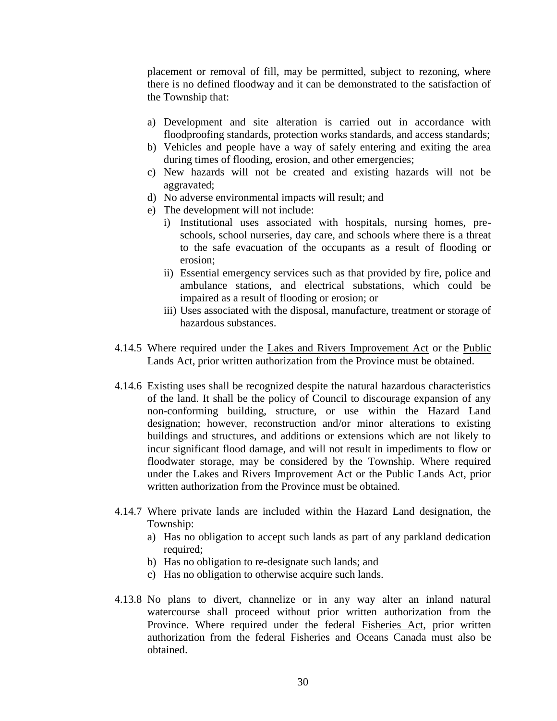placement or removal of fill, may be permitted, subject to rezoning, where there is no defined floodway and it can be demonstrated to the satisfaction of the Township that:

- a) Development and site alteration is carried out in accordance with floodproofing standards, protection works standards, and access standards;
- b) Vehicles and people have a way of safely entering and exiting the area during times of flooding, erosion, and other emergencies;
- c) New hazards will not be created and existing hazards will not be aggravated;
- d) No adverse environmental impacts will result; and
- e) The development will not include:
	- i) Institutional uses associated with hospitals, nursing homes, preschools, school nurseries, day care, and schools where there is a threat to the safe evacuation of the occupants as a result of flooding or erosion;
	- ii) Essential emergency services such as that provided by fire, police and ambulance stations, and electrical substations, which could be impaired as a result of flooding or erosion; or
	- iii) Uses associated with the disposal, manufacture, treatment or storage of hazardous substances.
- 4.14.5 Where required under the Lakes and Rivers Improvement Act or the Public Lands Act, prior written authorization from the Province must be obtained.
- 4.14.6 Existing uses shall be recognized despite the natural hazardous characteristics of the land. It shall be the policy of Council to discourage expansion of any non-conforming building, structure, or use within the Hazard Land designation; however, reconstruction and/or minor alterations to existing buildings and structures, and additions or extensions which are not likely to incur significant flood damage, and will not result in impediments to flow or floodwater storage, may be considered by the Township. Where required under the Lakes and Rivers Improvement Act or the Public Lands Act, prior written authorization from the Province must be obtained.
- 4.14.7 Where private lands are included within the Hazard Land designation, the Township:
	- a) Has no obligation to accept such lands as part of any parkland dedication required;
	- b) Has no obligation to re-designate such lands; and
	- c) Has no obligation to otherwise acquire such lands.
- 4.13.8 No plans to divert, channelize or in any way alter an inland natural watercourse shall proceed without prior written authorization from the Province. Where required under the federal Fisheries Act, prior written authorization from the federal Fisheries and Oceans Canada must also be obtained.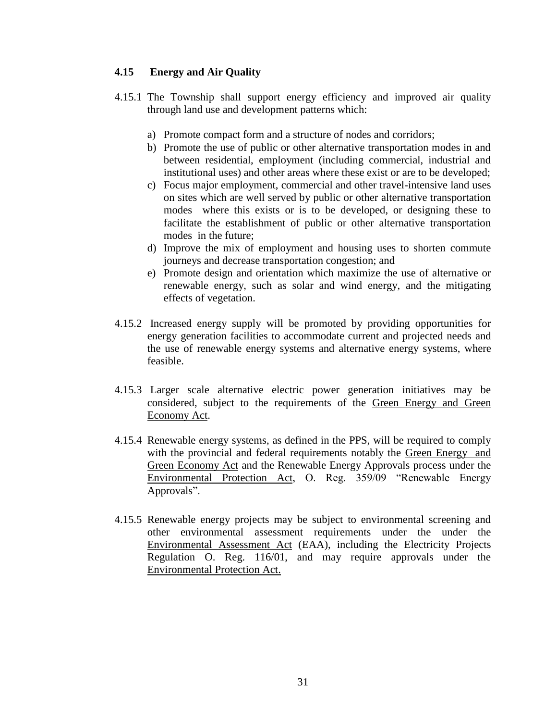## **4.15 Energy and Air Quality**

- 4.15.1 The Township shall support energy efficiency and improved air quality through land use and development patterns which:
	- a) Promote compact form and a structure of nodes and corridors;
	- b) Promote the use of public or other alternative transportation modes in and between residential, employment (including commercial, industrial and institutional uses) and other areas where these exist or are to be developed;
	- c) Focus major employment, commercial and other travel-intensive land uses on sites which are well served by public or other alternative transportation modes where this exists or is to be developed, or designing these to facilitate the establishment of public or other alternative transportation modes in the future;
	- d) Improve the mix of employment and housing uses to shorten commute journeys and decrease transportation congestion; and
	- e) Promote design and orientation which maximize the use of alternative or renewable energy, such as solar and wind energy, and the mitigating effects of vegetation.
- 4.15.2 Increased energy supply will be promoted by providing opportunities for energy generation facilities to accommodate current and projected needs and the use of renewable energy systems and alternative energy systems, where feasible.
- 4.15.3 Larger scale alternative electric power generation initiatives may be considered, subject to the requirements of the Green Energy and Green Economy Act.
- 4.15.4 Renewable energy systems, as defined in the PPS, will be required to comply with the provincial and federal requirements notably the Green Energy and Green Economy Act and the Renewable Energy Approvals process under the Environmental Protection Act, O. Reg. 359/09 "Renewable Energy Approvals".
- 4.15.5 Renewable energy projects may be subject to environmental screening and other environmental assessment requirements under the under the Environmental Assessment Act (EAA), including the Electricity Projects Regulation O. Reg. 116/01, and may require approvals under the Environmental Protection Act.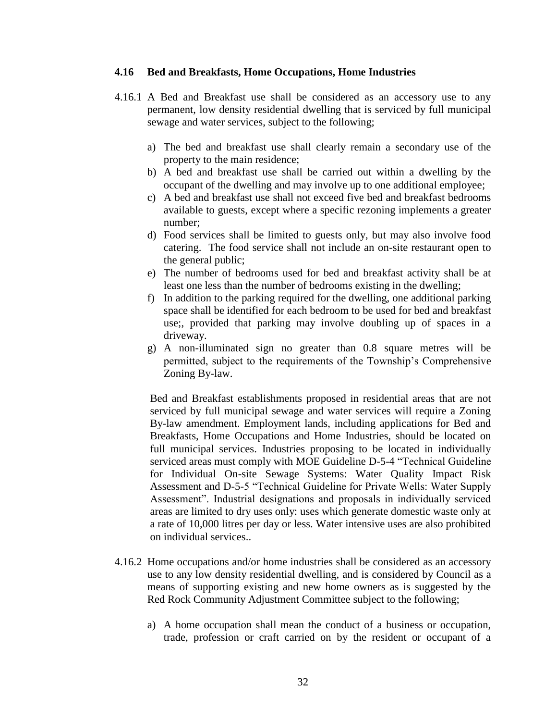#### **4.16 Bed and Breakfasts, Home Occupations, Home Industries**

- 4.16.1 A Bed and Breakfast use shall be considered as an accessory use to any permanent, low density residential dwelling that is serviced by full municipal sewage and water services, subject to the following;
	- a) The bed and breakfast use shall clearly remain a secondary use of the property to the main residence;
	- b) A bed and breakfast use shall be carried out within a dwelling by the occupant of the dwelling and may involve up to one additional employee;
	- c) A bed and breakfast use shall not exceed five bed and breakfast bedrooms available to guests, except where a specific rezoning implements a greater number;
	- d) Food services shall be limited to guests only, but may also involve food catering. The food service shall not include an on-site restaurant open to the general public;
	- e) The number of bedrooms used for bed and breakfast activity shall be at least one less than the number of bedrooms existing in the dwelling;
	- f) In addition to the parking required for the dwelling, one additional parking space shall be identified for each bedroom to be used for bed and breakfast use;, provided that parking may involve doubling up of spaces in a driveway.
	- g) A non-illuminated sign no greater than 0.8 square metres will be permitted, subject to the requirements of the Township's Comprehensive Zoning By-law.

Bed and Breakfast establishments proposed in residential areas that are not serviced by full municipal sewage and water services will require a Zoning By-law amendment. Employment lands, including applications for Bed and Breakfasts, Home Occupations and Home Industries, should be located on full municipal services. Industries proposing to be located in individually serviced areas must comply with MOE Guideline D-5-4 "Technical Guideline for Individual On-site Sewage Systems: Water Quality Impact Risk Assessment and D-5-5 "Technical Guideline for Private Wells: Water Supply Assessment". Industrial designations and proposals in individually serviced areas are limited to dry uses only: uses which generate domestic waste only at a rate of 10,000 litres per day or less. Water intensive uses are also prohibited on individual services..

- 4.16.2 Home occupations and/or home industries shall be considered as an accessory use to any low density residential dwelling, and is considered by Council as a means of supporting existing and new home owners as is suggested by the Red Rock Community Adjustment Committee subject to the following;
	- a) A home occupation shall mean the conduct of a business or occupation, trade, profession or craft carried on by the resident or occupant of a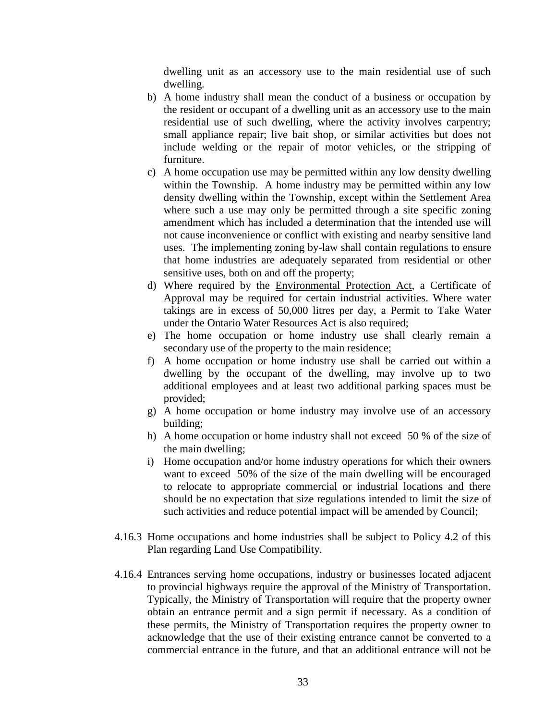dwelling unit as an accessory use to the main residential use of such dwelling.

- b) A home industry shall mean the conduct of a business or occupation by the resident or occupant of a dwelling unit as an accessory use to the main residential use of such dwelling, where the activity involves carpentry; small appliance repair; live bait shop, or similar activities but does not include welding or the repair of motor vehicles, or the stripping of furniture.
- c) A home occupation use may be permitted within any low density dwelling within the Township. A home industry may be permitted within any low density dwelling within the Township, except within the Settlement Area where such a use may only be permitted through a site specific zoning amendment which has included a determination that the intended use will not cause inconvenience or conflict with existing and nearby sensitive land uses. The implementing zoning by-law shall contain regulations to ensure that home industries are adequately separated from residential or other sensitive uses, both on and off the property;
- d) Where required by the Environmental Protection Act, a Certificate of Approval may be required for certain industrial activities. Where water takings are in excess of 50,000 litres per day, a Permit to Take Water under the Ontario Water Resources Act is also required;
- e) The home occupation or home industry use shall clearly remain a secondary use of the property to the main residence;
- f) A home occupation or home industry use shall be carried out within a dwelling by the occupant of the dwelling, may involve up to two additional employees and at least two additional parking spaces must be provided;
- g) A home occupation or home industry may involve use of an accessory building;
- h) A home occupation or home industry shall not exceed 50 % of the size of the main dwelling;
- i) Home occupation and/or home industry operations for which their owners want to exceed 50% of the size of the main dwelling will be encouraged to relocate to appropriate commercial or industrial locations and there should be no expectation that size regulations intended to limit the size of such activities and reduce potential impact will be amended by Council;
- 4.16.3 Home occupations and home industries shall be subject to Policy 4.2 of this Plan regarding Land Use Compatibility.
- 4.16.4 Entrances serving home occupations, industry or businesses located adjacent to provincial highways require the approval of the Ministry of Transportation. Typically, the Ministry of Transportation will require that the property owner obtain an entrance permit and a sign permit if necessary. As a condition of these permits, the Ministry of Transportation requires the property owner to acknowledge that the use of their existing entrance cannot be converted to a commercial entrance in the future, and that an additional entrance will not be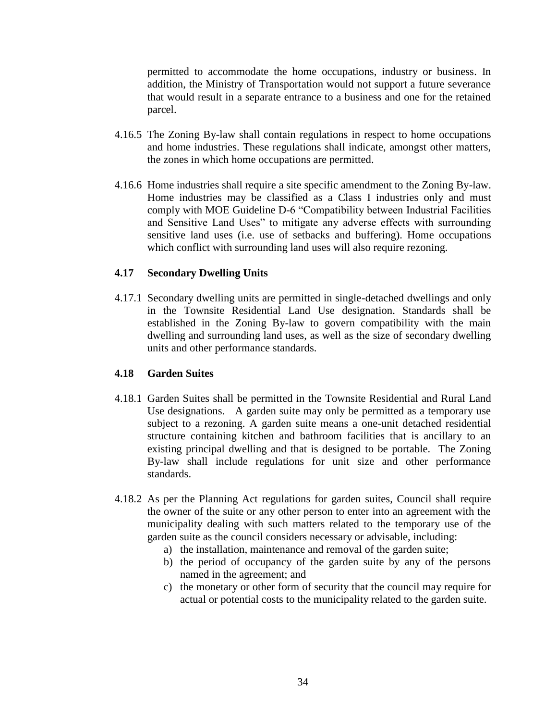permitted to accommodate the home occupations, industry or business. In addition, the Ministry of Transportation would not support a future severance that would result in a separate entrance to a business and one for the retained parcel.

- 4.16.5 The Zoning By-law shall contain regulations in respect to home occupations and home industries. These regulations shall indicate, amongst other matters, the zones in which home occupations are permitted.
- 4.16.6 Home industries shall require a site specific amendment to the Zoning By-law. Home industries may be classified as a Class I industries only and must comply with MOE Guideline D-6 "Compatibility between Industrial Facilities and Sensitive Land Uses" to mitigate any adverse effects with surrounding sensitive land uses (i.e. use of setbacks and buffering). Home occupations which conflict with surrounding land uses will also require rezoning.

## **4.17 Secondary Dwelling Units**

4.17.1 Secondary dwelling units are permitted in single-detached dwellings and only in the Townsite Residential Land Use designation. Standards shall be established in the Zoning By-law to govern compatibility with the main dwelling and surrounding land uses, as well as the size of secondary dwelling units and other performance standards.

## **4.18 Garden Suites**

- 4.18.1 Garden Suites shall be permitted in the Townsite Residential and Rural Land Use designations. A garden suite may only be permitted as a temporary use subject to a rezoning. A garden suite means a one-unit detached residential structure containing kitchen and bathroom facilities that is ancillary to an existing principal dwelling and that is designed to be portable. The Zoning By-law shall include regulations for unit size and other performance standards.
- 4.18.2 As per the Planning Act regulations for garden suites, Council shall require the owner of the suite or any other person to enter into an agreement with the municipality dealing with such matters related to the temporary use of the garden suite as the council considers necessary or advisable, including:
	- a) the installation, maintenance and removal of the garden suite;
	- b) the period of occupancy of the garden suite by any of the persons named in the agreement; and
	- c) the monetary or other form of security that the council may require for actual or potential costs to the municipality related to the garden suite.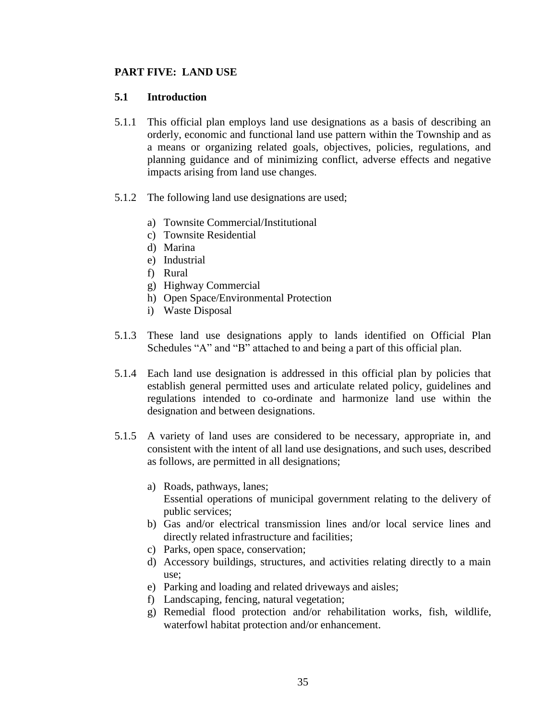## **PART FIVE: LAND USE**

#### **5.1 Introduction**

- 5.1.1 This official plan employs land use designations as a basis of describing an orderly, economic and functional land use pattern within the Township and as a means or organizing related goals, objectives, policies, regulations, and planning guidance and of minimizing conflict, adverse effects and negative impacts arising from land use changes.
- 5.1.2 The following land use designations are used;
	- a) Townsite Commercial/Institutional
	- c) Townsite Residential
	- d) Marina
	- e) Industrial
	- f) Rural
	- g) Highway Commercial
	- h) Open Space/Environmental Protection
	- i) Waste Disposal
- 5.1.3 These land use designations apply to lands identified on Official Plan Schedules "A" and "B" attached to and being a part of this official plan.
- 5.1.4 Each land use designation is addressed in this official plan by policies that establish general permitted uses and articulate related policy, guidelines and regulations intended to co-ordinate and harmonize land use within the designation and between designations.
- 5.1.5 A variety of land uses are considered to be necessary, appropriate in, and consistent with the intent of all land use designations, and such uses, described as follows, are permitted in all designations;
	- a) Roads, pathways, lanes; Essential operations of municipal government relating to the delivery of public services;
	- b) Gas and/or electrical transmission lines and/or local service lines and directly related infrastructure and facilities;
	- c) Parks, open space, conservation;
	- d) Accessory buildings, structures, and activities relating directly to a main use;
	- e) Parking and loading and related driveways and aisles;
	- f) Landscaping, fencing, natural vegetation;
	- g) Remedial flood protection and/or rehabilitation works, fish, wildlife, waterfowl habitat protection and/or enhancement.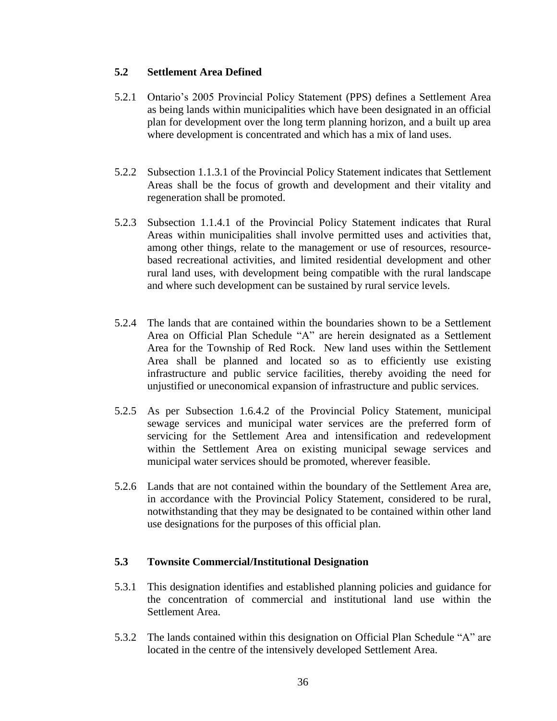## **5.2 Settlement Area Defined**

- 5.2.1 Ontario's 2005 Provincial Policy Statement (PPS) defines a Settlement Area as being lands within municipalities which have been designated in an official plan for development over the long term planning horizon, and a built up area where development is concentrated and which has a mix of land uses.
- 5.2.2 Subsection 1.1.3.1 of the Provincial Policy Statement indicates that Settlement Areas shall be the focus of growth and development and their vitality and regeneration shall be promoted.
- 5.2.3 Subsection 1.1.4.1 of the Provincial Policy Statement indicates that Rural Areas within municipalities shall involve permitted uses and activities that, among other things, relate to the management or use of resources, resourcebased recreational activities, and limited residential development and other rural land uses, with development being compatible with the rural landscape and where such development can be sustained by rural service levels.
- 5.2.4 The lands that are contained within the boundaries shown to be a Settlement Area on Official Plan Schedule "A" are herein designated as a Settlement Area for the Township of Red Rock. New land uses within the Settlement Area shall be planned and located so as to efficiently use existing infrastructure and public service facilities, thereby avoiding the need for unjustified or uneconomical expansion of infrastructure and public services.
- 5.2.5 As per Subsection 1.6.4.2 of the Provincial Policy Statement, municipal sewage services and municipal water services are the preferred form of servicing for the Settlement Area and intensification and redevelopment within the Settlement Area on existing municipal sewage services and municipal water services should be promoted, wherever feasible.
- 5.2.6 Lands that are not contained within the boundary of the Settlement Area are, in accordance with the Provincial Policy Statement, considered to be rural, notwithstanding that they may be designated to be contained within other land use designations for the purposes of this official plan.

## **5.3 Townsite Commercial/Institutional Designation**

- 5.3.1 This designation identifies and established planning policies and guidance for the concentration of commercial and institutional land use within the Settlement Area.
- 5.3.2 The lands contained within this designation on Official Plan Schedule "A" are located in the centre of the intensively developed Settlement Area.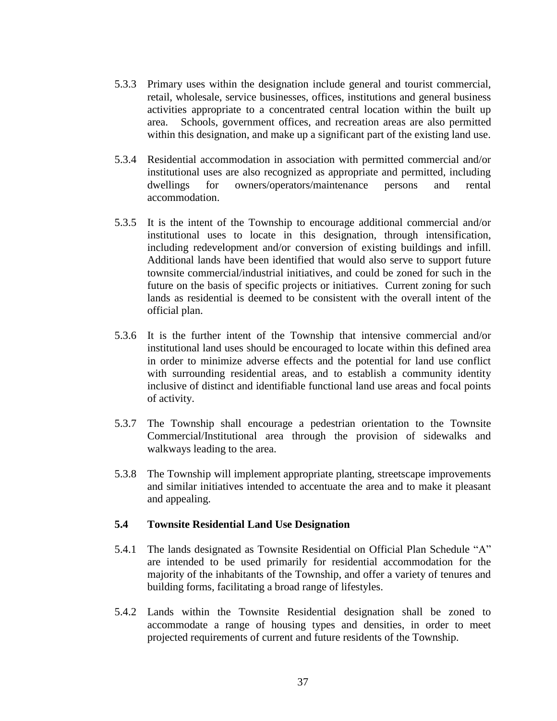- 5.3.3 Primary uses within the designation include general and tourist commercial, retail, wholesale, service businesses, offices, institutions and general business activities appropriate to a concentrated central location within the built up area. Schools, government offices, and recreation areas are also permitted within this designation, and make up a significant part of the existing land use.
- 5.3.4 Residential accommodation in association with permitted commercial and/or institutional uses are also recognized as appropriate and permitted, including dwellings for owners/operators/maintenance persons and rental accommodation.
- 5.3.5 It is the intent of the Township to encourage additional commercial and/or institutional uses to locate in this designation, through intensification, including redevelopment and/or conversion of existing buildings and infill. Additional lands have been identified that would also serve to support future townsite commercial/industrial initiatives, and could be zoned for such in the future on the basis of specific projects or initiatives. Current zoning for such lands as residential is deemed to be consistent with the overall intent of the official plan.
- 5.3.6 It is the further intent of the Township that intensive commercial and/or institutional land uses should be encouraged to locate within this defined area in order to minimize adverse effects and the potential for land use conflict with surrounding residential areas, and to establish a community identity inclusive of distinct and identifiable functional land use areas and focal points of activity.
- 5.3.7 The Township shall encourage a pedestrian orientation to the Townsite Commercial/Institutional area through the provision of sidewalks and walkways leading to the area.
- 5.3.8 The Township will implement appropriate planting, streetscape improvements and similar initiatives intended to accentuate the area and to make it pleasant and appealing.

#### **5.4 Townsite Residential Land Use Designation**

- 5.4.1 The lands designated as Townsite Residential on Official Plan Schedule "A" are intended to be used primarily for residential accommodation for the majority of the inhabitants of the Township, and offer a variety of tenures and building forms, facilitating a broad range of lifestyles.
- 5.4.2 Lands within the Townsite Residential designation shall be zoned to accommodate a range of housing types and densities, in order to meet projected requirements of current and future residents of the Township.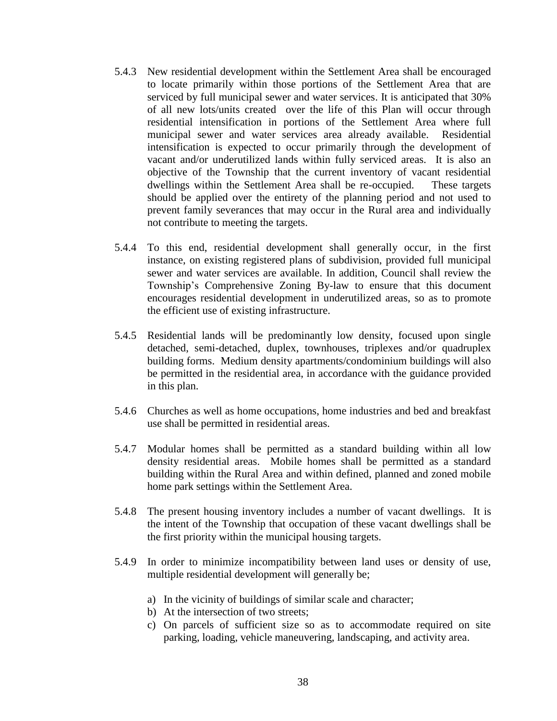- 5.4.3 New residential development within the Settlement Area shall be encouraged to locate primarily within those portions of the Settlement Area that are serviced by full municipal sewer and water services. It is anticipated that 30% of all new lots/units created over the life of this Plan will occur through residential intensification in portions of the Settlement Area where full municipal sewer and water services area already available. Residential intensification is expected to occur primarily through the development of vacant and/or underutilized lands within fully serviced areas. It is also an objective of the Township that the current inventory of vacant residential dwellings within the Settlement Area shall be re-occupied. These targets should be applied over the entirety of the planning period and not used to prevent family severances that may occur in the Rural area and individually not contribute to meeting the targets.
- 5.4.4 To this end, residential development shall generally occur, in the first instance, on existing registered plans of subdivision, provided full municipal sewer and water services are available. In addition, Council shall review the Township's Comprehensive Zoning By-law to ensure that this document encourages residential development in underutilized areas, so as to promote the efficient use of existing infrastructure.
- 5.4.5 Residential lands will be predominantly low density, focused upon single detached, semi-detached, duplex, townhouses, triplexes and/or quadruplex building forms. Medium density apartments/condominium buildings will also be permitted in the residential area, in accordance with the guidance provided in this plan.
- 5.4.6 Churches as well as home occupations, home industries and bed and breakfast use shall be permitted in residential areas.
- 5.4.7 Modular homes shall be permitted as a standard building within all low density residential areas. Mobile homes shall be permitted as a standard building within the Rural Area and within defined, planned and zoned mobile home park settings within the Settlement Area.
- 5.4.8 The present housing inventory includes a number of vacant dwellings. It is the intent of the Township that occupation of these vacant dwellings shall be the first priority within the municipal housing targets.
- 5.4.9 In order to minimize incompatibility between land uses or density of use, multiple residential development will generally be;
	- a) In the vicinity of buildings of similar scale and character;
	- b) At the intersection of two streets;
	- c) On parcels of sufficient size so as to accommodate required on site parking, loading, vehicle maneuvering, landscaping, and activity area.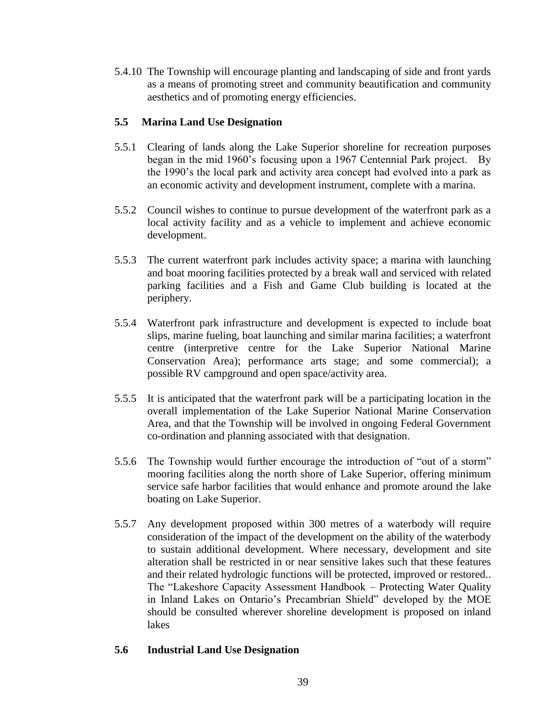5.4.10 The Township will encourage planting and landscaping of side and front yards as a means of promoting street and community beautification and community aesthetics and of promoting energy efficiencies.

## **5.5 Marina Land Use Designation**

- 5.5.1 Clearing of lands along the Lake Superior shoreline for recreation purposes began in the mid 1960's focusing upon a 1967 Centennial Park project. By the 1990's the local park and activity area concept had evolved into a park as an economic activity and development instrument, complete with a marina.
- 5.5.2 Council wishes to continue to pursue development of the waterfront park as a local activity facility and as a vehicle to implement and achieve economic development.
- 5.5.3 The current waterfront park includes activity space; a marina with launching and boat mooring facilities protected by a break wall and serviced with related parking facilities and a Fish and Game Club building is located at the periphery.
- 5.5.4 Waterfront park infrastructure and development is expected to include boat slips, marine fueling, boat launching and similar marina facilities; a waterfront centre (interpretive centre for the Lake Superior National Marine Conservation Area); performance arts stage; and some commercial); a possible RV campground and open space/activity area.
- 5.5.5 It is anticipated that the waterfront park will be a participating location in the overall implementation of the Lake Superior National Marine Conservation Area, and that the Township will be involved in ongoing Federal Government co-ordination and planning associated with that designation.
- 5.5.6 The Township would further encourage the introduction of "out of a storm" mooring facilities along the north shore of Lake Superior, offering minimum service safe harbor facilities that would enhance and promote around the lake boating on Lake Superior.
- 5.5.7 Any development proposed within 300 metres of a waterbody will require consideration of the impact of the development on the ability of the waterbody to sustain additional development. Where necessary, development and site alteration shall be restricted in or near sensitive lakes such that these features and their related hydrologic functions will be protected, improved or restored.. The "Lakeshore Capacity Assessment Handbook – Protecting Water Quality in Inland Lakes on Ontario's Precambrian Shield" developed by the MOE should be consulted wherever shoreline development is proposed on inland lakes

# **5.6 Industrial Land Use Designation**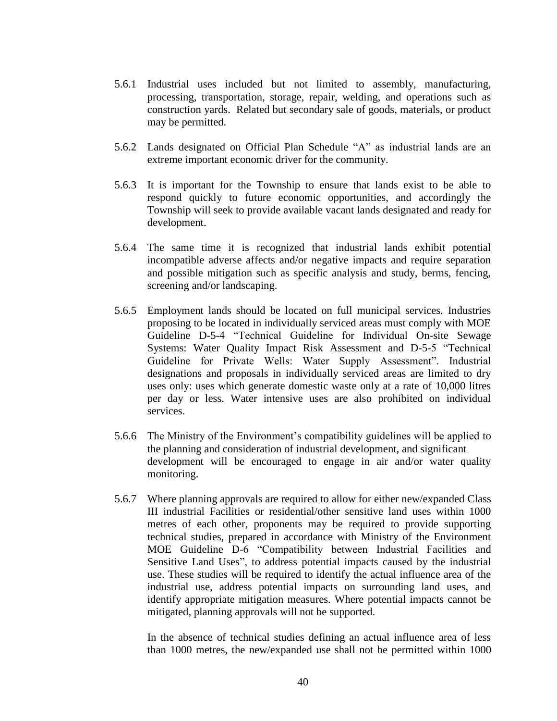- 5.6.1 Industrial uses included but not limited to assembly, manufacturing, processing, transportation, storage, repair, welding, and operations such as construction yards. Related but secondary sale of goods, materials, or product may be permitted.
- 5.6.2 Lands designated on Official Plan Schedule "A" as industrial lands are an extreme important economic driver for the community.
- 5.6.3 It is important for the Township to ensure that lands exist to be able to respond quickly to future economic opportunities, and accordingly the Township will seek to provide available vacant lands designated and ready for development.
- 5.6.4 The same time it is recognized that industrial lands exhibit potential incompatible adverse affects and/or negative impacts and require separation and possible mitigation such as specific analysis and study, berms, fencing, screening and/or landscaping.
- 5.6.5 Employment lands should be located on full municipal services. Industries proposing to be located in individually serviced areas must comply with MOE Guideline D-5-4 "Technical Guideline for Individual On-site Sewage Systems: Water Quality Impact Risk Assessment and D-5-5 "Technical Guideline for Private Wells: Water Supply Assessment". Industrial designations and proposals in individually serviced areas are limited to dry uses only: uses which generate domestic waste only at a rate of 10,000 litres per day or less. Water intensive uses are also prohibited on individual services.
- 5.6.6 The Ministry of the Environment's compatibility guidelines will be applied to the planning and consideration of industrial development, and significant development will be encouraged to engage in air and/or water quality monitoring.
- 5.6.7 Where planning approvals are required to allow for either new/expanded Class III industrial Facilities or residential/other sensitive land uses within 1000 metres of each other, proponents may be required to provide supporting technical studies, prepared in accordance with Ministry of the Environment MOE Guideline D-6 "Compatibility between Industrial Facilities and Sensitive Land Uses", to address potential impacts caused by the industrial use. These studies will be required to identify the actual influence area of the industrial use, address potential impacts on surrounding land uses, and identify appropriate mitigation measures. Where potential impacts cannot be mitigated, planning approvals will not be supported.

In the absence of technical studies defining an actual influence area of less than 1000 metres, the new/expanded use shall not be permitted within 1000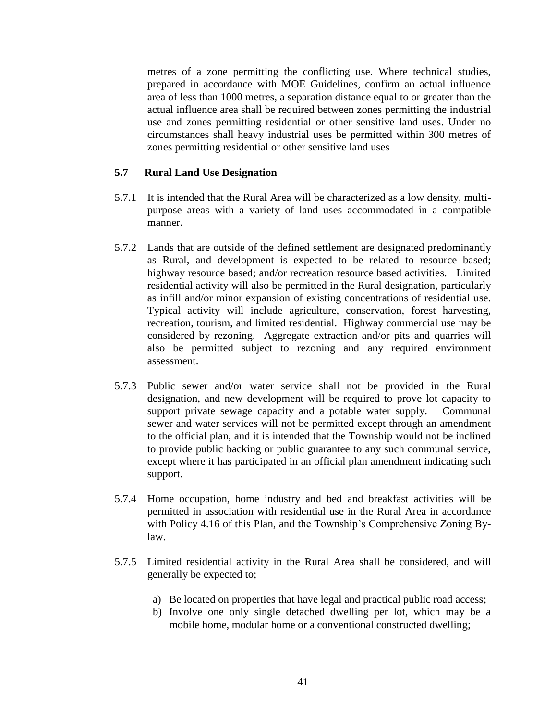metres of a zone permitting the conflicting use. Where technical studies, prepared in accordance with MOE Guidelines, confirm an actual influence area of less than 1000 metres, a separation distance equal to or greater than the actual influence area shall be required between zones permitting the industrial use and zones permitting residential or other sensitive land uses. Under no circumstances shall heavy industrial uses be permitted within 300 metres of zones permitting residential or other sensitive land uses

#### **5.7 Rural Land Use Designation**

- 5.7.1 It is intended that the Rural Area will be characterized as a low density, multipurpose areas with a variety of land uses accommodated in a compatible manner.
- 5.7.2 Lands that are outside of the defined settlement are designated predominantly as Rural, and development is expected to be related to resource based; highway resource based; and/or recreation resource based activities. Limited residential activity will also be permitted in the Rural designation, particularly as infill and/or minor expansion of existing concentrations of residential use. Typical activity will include agriculture, conservation, forest harvesting, recreation, tourism, and limited residential. Highway commercial use may be considered by rezoning. Aggregate extraction and/or pits and quarries will also be permitted subject to rezoning and any required environment assessment.
- 5.7.3 Public sewer and/or water service shall not be provided in the Rural designation, and new development will be required to prove lot capacity to support private sewage capacity and a potable water supply. Communal sewer and water services will not be permitted except through an amendment to the official plan, and it is intended that the Township would not be inclined to provide public backing or public guarantee to any such communal service, except where it has participated in an official plan amendment indicating such support.
- 5.7.4 Home occupation, home industry and bed and breakfast activities will be permitted in association with residential use in the Rural Area in accordance with Policy 4.16 of this Plan, and the Township's Comprehensive Zoning Bylaw.
- 5.7.5 Limited residential activity in the Rural Area shall be considered, and will generally be expected to;
	- a) Be located on properties that have legal and practical public road access;
	- b) Involve one only single detached dwelling per lot, which may be a mobile home, modular home or a conventional constructed dwelling;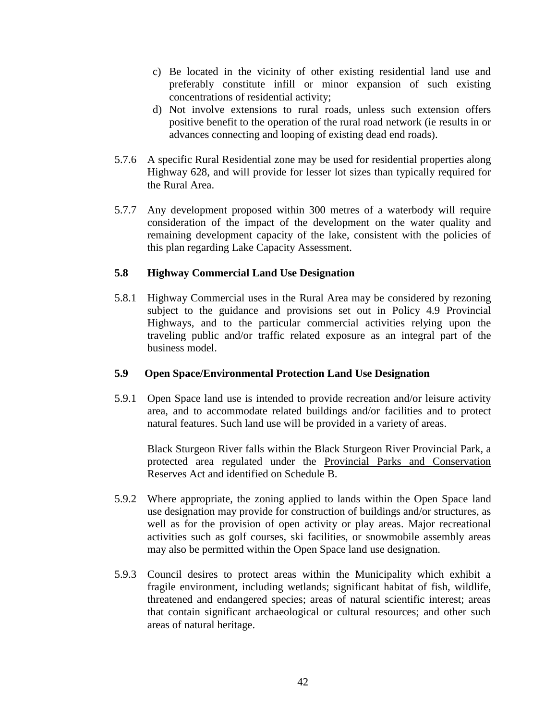- c) Be located in the vicinity of other existing residential land use and preferably constitute infill or minor expansion of such existing concentrations of residential activity;
- d) Not involve extensions to rural roads, unless such extension offers positive benefit to the operation of the rural road network (ie results in or advances connecting and looping of existing dead end roads).
- 5.7.6 A specific Rural Residential zone may be used for residential properties along Highway 628, and will provide for lesser lot sizes than typically required for the Rural Area.
- 5.7.7 Any development proposed within 300 metres of a waterbody will require consideration of the impact of the development on the water quality and remaining development capacity of the lake, consistent with the policies of this plan regarding Lake Capacity Assessment.

## **5.8 Highway Commercial Land Use Designation**

5.8.1 Highway Commercial uses in the Rural Area may be considered by rezoning subject to the guidance and provisions set out in Policy 4.9 Provincial Highways, and to the particular commercial activities relying upon the traveling public and/or traffic related exposure as an integral part of the business model.

## **5.9 Open Space/Environmental Protection Land Use Designation**

5.9.1 Open Space land use is intended to provide recreation and/or leisure activity area, and to accommodate related buildings and/or facilities and to protect natural features. Such land use will be provided in a variety of areas.

Black Sturgeon River falls within the Black Sturgeon River Provincial Park, a protected area regulated under the Provincial Parks and Conservation Reserves Act and identified on Schedule B.

- 5.9.2 Where appropriate, the zoning applied to lands within the Open Space land use designation may provide for construction of buildings and/or structures, as well as for the provision of open activity or play areas. Major recreational activities such as golf courses, ski facilities, or snowmobile assembly areas may also be permitted within the Open Space land use designation.
- 5.9.3 Council desires to protect areas within the Municipality which exhibit a fragile environment, including wetlands; significant habitat of fish, wildlife, threatened and endangered species; areas of natural scientific interest; areas that contain significant archaeological or cultural resources; and other such areas of natural heritage.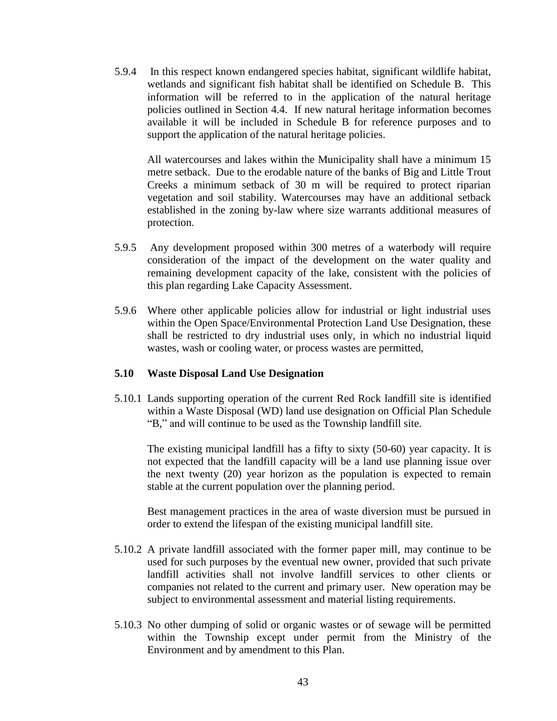5.9.4 In this respect known endangered species habitat, significant wildlife habitat, wetlands and significant fish habitat shall be identified on Schedule B. This information will be referred to in the application of the natural heritage policies outlined in Section 4.4. If new natural heritage information becomes available it will be included in Schedule B for reference purposes and to support the application of the natural heritage policies.

All watercourses and lakes within the Municipality shall have a minimum 15 metre setback. Due to the erodable nature of the banks of Big and Little Trout Creeks a minimum setback of 30 m will be required to protect riparian vegetation and soil stability. Watercourses may have an additional setback established in the zoning by-law where size warrants additional measures of protection.

- 5.9.5 Any development proposed within 300 metres of a waterbody will require consideration of the impact of the development on the water quality and remaining development capacity of the lake, consistent with the policies of this plan regarding Lake Capacity Assessment.
- 5.9.6 Where other applicable policies allow for industrial or light industrial uses within the Open Space/Environmental Protection Land Use Designation, these shall be restricted to dry industrial uses only, in which no industrial liquid wastes, wash or cooling water, or process wastes are permitted,

#### **5.10 Waste Disposal Land Use Designation**

5.10.1 Lands supporting operation of the current Red Rock landfill site is identified within a Waste Disposal (WD) land use designation on Official Plan Schedule "B," and will continue to be used as the Township landfill site.

The existing municipal landfill has a fifty to sixty (50-60) year capacity. It is not expected that the landfill capacity will be a land use planning issue over the next twenty (20) year horizon as the population is expected to remain stable at the current population over the planning period.

Best management practices in the area of waste diversion must be pursued in order to extend the lifespan of the existing municipal landfill site.

- 5.10.2 A private landfill associated with the former paper mill, may continue to be used for such purposes by the eventual new owner, provided that such private landfill activities shall not involve landfill services to other clients or companies not related to the current and primary user. New operation may be subject to environmental assessment and material listing requirements.
- 5.10.3 No other dumping of solid or organic wastes or of sewage will be permitted within the Township except under permit from the Ministry of the Environment and by amendment to this Plan.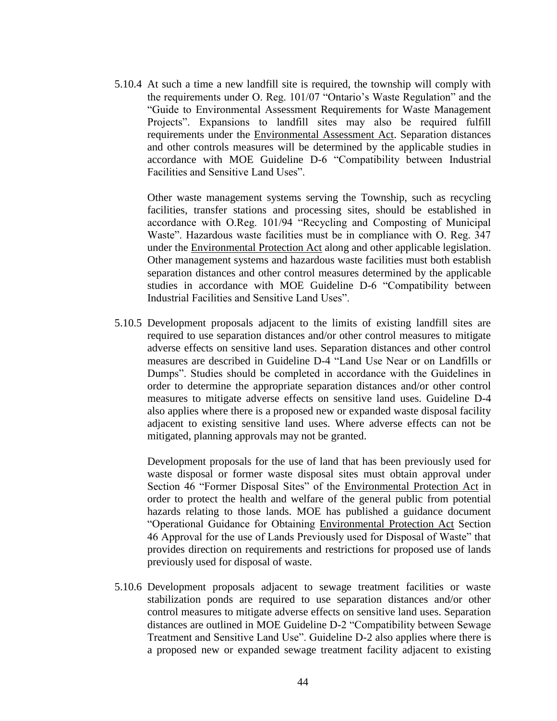5.10.4 At such a time a new landfill site is required, the township will comply with the requirements under O. Reg. 101/07 "Ontario's Waste Regulation" and the "Guide to Environmental Assessment Requirements for Waste Management Projects". Expansions to landfill sites may also be required fulfill requirements under the Environmental Assessment Act. Separation distances and other controls measures will be determined by the applicable studies in accordance with MOE Guideline D-6 "Compatibility between Industrial Facilities and Sensitive Land Uses".

Other waste management systems serving the Township, such as recycling facilities, transfer stations and processing sites, should be established in accordance with O.Reg. 101/94 "Recycling and Composting of Municipal Waste". Hazardous waste facilities must be in compliance with O. Reg. 347 under the Environmental Protection Act along and other applicable legislation. Other management systems and hazardous waste facilities must both establish separation distances and other control measures determined by the applicable studies in accordance with MOE Guideline D-6 "Compatibility between Industrial Facilities and Sensitive Land Uses".

5.10.5 Development proposals adjacent to the limits of existing landfill sites are required to use separation distances and/or other control measures to mitigate adverse effects on sensitive land uses. Separation distances and other control measures are described in Guideline D-4 "Land Use Near or on Landfills or Dumps". Studies should be completed in accordance with the Guidelines in order to determine the appropriate separation distances and/or other control measures to mitigate adverse effects on sensitive land uses. Guideline D-4 also applies where there is a proposed new or expanded waste disposal facility adjacent to existing sensitive land uses. Where adverse effects can not be mitigated, planning approvals may not be granted.

Development proposals for the use of land that has been previously used for waste disposal or former waste disposal sites must obtain approval under Section 46 "Former Disposal Sites" of the Environmental Protection Act in order to protect the health and welfare of the general public from potential hazards relating to those lands. MOE has published a guidance document "Operational Guidance for Obtaining Environmental Protection Act Section 46 Approval for the use of Lands Previously used for Disposal of Waste" that provides direction on requirements and restrictions for proposed use of lands previously used for disposal of waste.

5.10.6 Development proposals adjacent to sewage treatment facilities or waste stabilization ponds are required to use separation distances and/or other control measures to mitigate adverse effects on sensitive land uses. Separation distances are outlined in MOE Guideline D-2 "Compatibility between Sewage Treatment and Sensitive Land Use". Guideline D-2 also applies where there is a proposed new or expanded sewage treatment facility adjacent to existing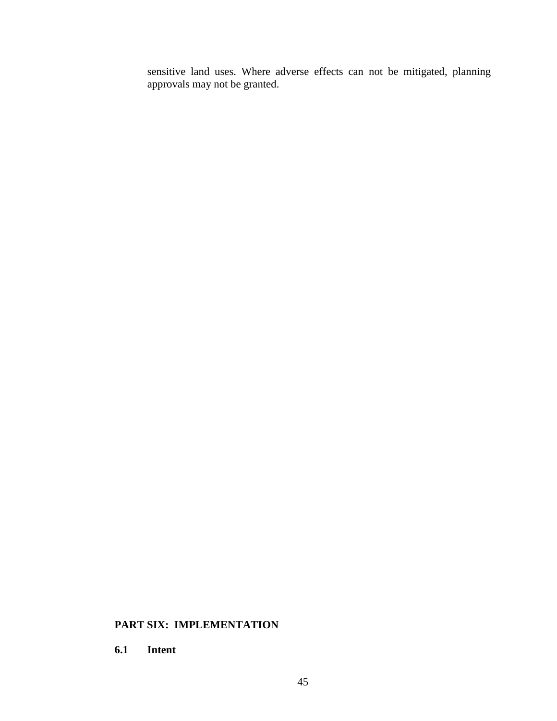sensitive land uses. Where adverse effects can not be mitigated, planning approvals may not be granted.

# **PART SIX: IMPLEMENTATION**

**6.1 Intent**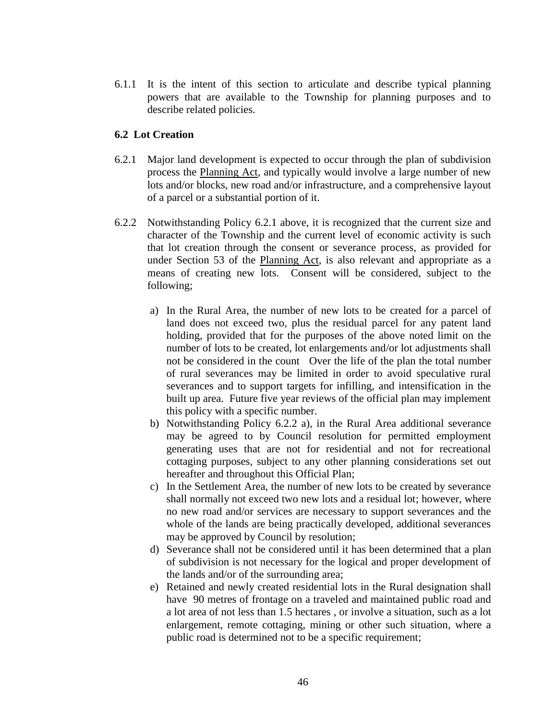6.1.1 It is the intent of this section to articulate and describe typical planning powers that are available to the Township for planning purposes and to describe related policies.

#### **6.2 Lot Creation**

- 6.2.1 Major land development is expected to occur through the plan of subdivision process the Planning Act, and typically would involve a large number of new lots and/or blocks, new road and/or infrastructure, and a comprehensive layout of a parcel or a substantial portion of it.
- 6.2.2 Notwithstanding Policy 6.2.1 above, it is recognized that the current size and character of the Township and the current level of economic activity is such that lot creation through the consent or severance process, as provided for under Section 53 of the Planning Act, is also relevant and appropriate as a means of creating new lots. Consent will be considered, subject to the following;
	- a) In the Rural Area, the number of new lots to be created for a parcel of land does not exceed two, plus the residual parcel for any patent land holding, provided that for the purposes of the above noted limit on the number of lots to be created, lot enlargements and/or lot adjustments shall not be considered in the count Over the life of the plan the total number of rural severances may be limited in order to avoid speculative rural severances and to support targets for infilling, and intensification in the built up area. Future five year reviews of the official plan may implement this policy with a specific number.
	- b) Notwithstanding Policy 6.2.2 a), in the Rural Area additional severance may be agreed to by Council resolution for permitted employment generating uses that are not for residential and not for recreational cottaging purposes, subject to any other planning considerations set out hereafter and throughout this Official Plan;
	- c) In the Settlement Area, the number of new lots to be created by severance shall normally not exceed two new lots and a residual lot; however, where no new road and/or services are necessary to support severances and the whole of the lands are being practically developed, additional severances may be approved by Council by resolution;
	- d) Severance shall not be considered until it has been determined that a plan of subdivision is not necessary for the logical and proper development of the lands and/or of the surrounding area;
	- e) Retained and newly created residential lots in the Rural designation shall have 90 metres of frontage on a traveled and maintained public road and a lot area of not less than 1.5 hectares , or involve a situation, such as a lot enlargement, remote cottaging, mining or other such situation, where a public road is determined not to be a specific requirement;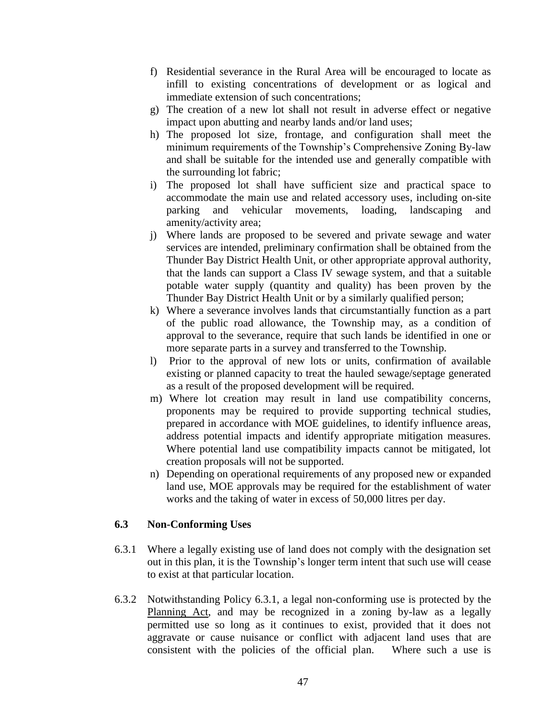- f) Residential severance in the Rural Area will be encouraged to locate as infill to existing concentrations of development or as logical and immediate extension of such concentrations;
- g) The creation of a new lot shall not result in adverse effect or negative impact upon abutting and nearby lands and/or land uses;
- h) The proposed lot size, frontage, and configuration shall meet the minimum requirements of the Township's Comprehensive Zoning By-law and shall be suitable for the intended use and generally compatible with the surrounding lot fabric;
- i) The proposed lot shall have sufficient size and practical space to accommodate the main use and related accessory uses, including on-site parking and vehicular movements, loading, landscaping and amenity/activity area;
- j) Where lands are proposed to be severed and private sewage and water services are intended, preliminary confirmation shall be obtained from the Thunder Bay District Health Unit, or other appropriate approval authority, that the lands can support a Class IV sewage system, and that a suitable potable water supply (quantity and quality) has been proven by the Thunder Bay District Health Unit or by a similarly qualified person;
- k) Where a severance involves lands that circumstantially function as a part of the public road allowance, the Township may, as a condition of approval to the severance, require that such lands be identified in one or more separate parts in a survey and transferred to the Township.
- l) Prior to the approval of new lots or units, confirmation of available existing or planned capacity to treat the hauled sewage/septage generated as a result of the proposed development will be required.
- m) Where lot creation may result in land use compatibility concerns, proponents may be required to provide supporting technical studies, prepared in accordance with MOE guidelines, to identify influence areas, address potential impacts and identify appropriate mitigation measures. Where potential land use compatibility impacts cannot be mitigated, lot creation proposals will not be supported.
- n) Depending on operational requirements of any proposed new or expanded land use, MOE approvals may be required for the establishment of water works and the taking of water in excess of 50,000 litres per day.

#### **6.3 Non-Conforming Uses**

- 6.3.1 Where a legally existing use of land does not comply with the designation set out in this plan, it is the Township's longer term intent that such use will cease to exist at that particular location.
- 6.3.2 Notwithstanding Policy 6.3.1, a legal non-conforming use is protected by the Planning Act, and may be recognized in a zoning by-law as a legally permitted use so long as it continues to exist, provided that it does not aggravate or cause nuisance or conflict with adjacent land uses that are consistent with the policies of the official plan. Where such a use is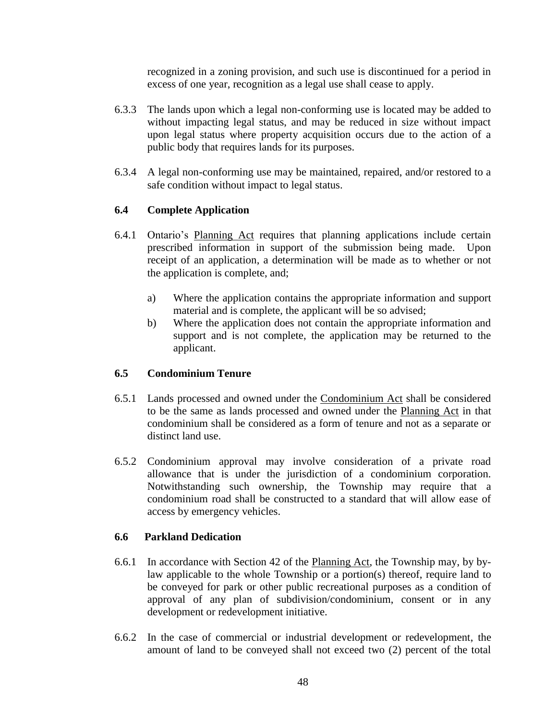recognized in a zoning provision, and such use is discontinued for a period in excess of one year, recognition as a legal use shall cease to apply.

- 6.3.3 The lands upon which a legal non-conforming use is located may be added to without impacting legal status, and may be reduced in size without impact upon legal status where property acquisition occurs due to the action of a public body that requires lands for its purposes.
- 6.3.4 A legal non-conforming use may be maintained, repaired, and/or restored to a safe condition without impact to legal status.

## **6.4 Complete Application**

- 6.4.1 Ontario's Planning Act requires that planning applications include certain prescribed information in support of the submission being made. Upon receipt of an application, a determination will be made as to whether or not the application is complete, and;
	- a) Where the application contains the appropriate information and support material and is complete, the applicant will be so advised;
	- b) Where the application does not contain the appropriate information and support and is not complete, the application may be returned to the applicant.

## **6.5 Condominium Tenure**

- 6.5.1 Lands processed and owned under the Condominium Act shall be considered to be the same as lands processed and owned under the Planning Act in that condominium shall be considered as a form of tenure and not as a separate or distinct land use.
- 6.5.2 Condominium approval may involve consideration of a private road allowance that is under the jurisdiction of a condominium corporation. Notwithstanding such ownership, the Township may require that a condominium road shall be constructed to a standard that will allow ease of access by emergency vehicles.

## **6.6 Parkland Dedication**

- 6.6.1 In accordance with Section 42 of the Planning Act, the Township may, by bylaw applicable to the whole Township or a portion(s) thereof, require land to be conveyed for park or other public recreational purposes as a condition of approval of any plan of subdivision/condominium, consent or in any development or redevelopment initiative.
- 6.6.2 In the case of commercial or industrial development or redevelopment, the amount of land to be conveyed shall not exceed two (2) percent of the total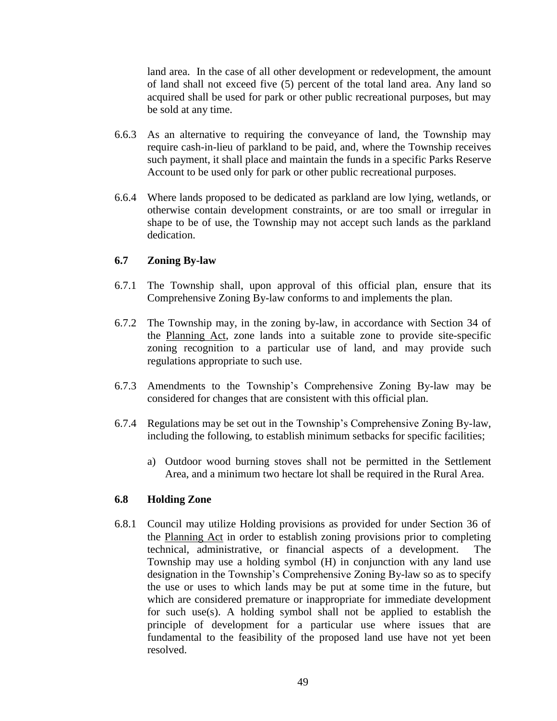land area. In the case of all other development or redevelopment, the amount of land shall not exceed five (5) percent of the total land area. Any land so acquired shall be used for park or other public recreational purposes, but may be sold at any time.

- 6.6.3 As an alternative to requiring the conveyance of land, the Township may require cash-in-lieu of parkland to be paid, and, where the Township receives such payment, it shall place and maintain the funds in a specific Parks Reserve Account to be used only for park or other public recreational purposes.
- 6.6.4 Where lands proposed to be dedicated as parkland are low lying, wetlands, or otherwise contain development constraints, or are too small or irregular in shape to be of use, the Township may not accept such lands as the parkland dedication.

## **6.7 Zoning By-law**

- 6.7.1 The Township shall, upon approval of this official plan, ensure that its Comprehensive Zoning By-law conforms to and implements the plan.
- 6.7.2 The Township may, in the zoning by-law, in accordance with Section 34 of the Planning Act, zone lands into a suitable zone to provide site-specific zoning recognition to a particular use of land, and may provide such regulations appropriate to such use.
- 6.7.3 Amendments to the Township's Comprehensive Zoning By-law may be considered for changes that are consistent with this official plan.
- 6.7.4 Regulations may be set out in the Township's Comprehensive Zoning By-law, including the following, to establish minimum setbacks for specific facilities;
	- a) Outdoor wood burning stoves shall not be permitted in the Settlement Area, and a minimum two hectare lot shall be required in the Rural Area.

#### **6.8 Holding Zone**

6.8.1 Council may utilize Holding provisions as provided for under Section 36 of the Planning Act in order to establish zoning provisions prior to completing technical, administrative, or financial aspects of a development. The Township may use a holding symbol (H) in conjunction with any land use designation in the Township's Comprehensive Zoning By-law so as to specify the use or uses to which lands may be put at some time in the future, but which are considered premature or inappropriate for immediate development for such use(s). A holding symbol shall not be applied to establish the principle of development for a particular use where issues that are fundamental to the feasibility of the proposed land use have not yet been resolved.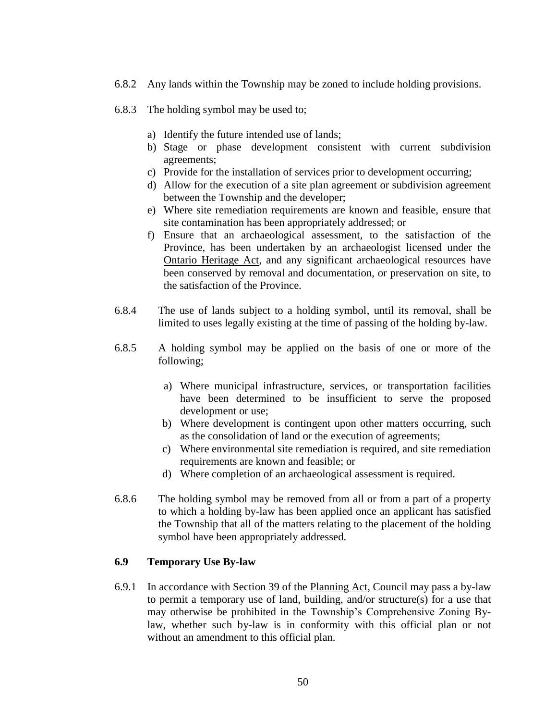- 6.8.2 Any lands within the Township may be zoned to include holding provisions.
- 6.8.3 The holding symbol may be used to;
	- a) Identify the future intended use of lands;
	- b) Stage or phase development consistent with current subdivision agreements;
	- c) Provide for the installation of services prior to development occurring;
	- d) Allow for the execution of a site plan agreement or subdivision agreement between the Township and the developer;
	- e) Where site remediation requirements are known and feasible, ensure that site contamination has been appropriately addressed; or
	- f) Ensure that an archaeological assessment, to the satisfaction of the Province, has been undertaken by an archaeologist licensed under the Ontario Heritage Act, and any significant archaeological resources have been conserved by removal and documentation, or preservation on site, to the satisfaction of the Province.
- 6.8.4 The use of lands subject to a holding symbol, until its removal, shall be limited to uses legally existing at the time of passing of the holding by-law.
- 6.8.5 A holding symbol may be applied on the basis of one or more of the following;
	- a) Where municipal infrastructure, services, or transportation facilities have been determined to be insufficient to serve the proposed development or use;
	- b) Where development is contingent upon other matters occurring, such as the consolidation of land or the execution of agreements;
	- c) Where environmental site remediation is required, and site remediation requirements are known and feasible; or
	- d) Where completion of an archaeological assessment is required.
- 6.8.6 The holding symbol may be removed from all or from a part of a property to which a holding by-law has been applied once an applicant has satisfied the Township that all of the matters relating to the placement of the holding symbol have been appropriately addressed.

## **6.9 Temporary Use By-law**

6.9.1 In accordance with Section 39 of the Planning Act, Council may pass a by-law to permit a temporary use of land, building, and/or structure(s) for a use that may otherwise be prohibited in the Township's Comprehensive Zoning Bylaw, whether such by-law is in conformity with this official plan or not without an amendment to this official plan.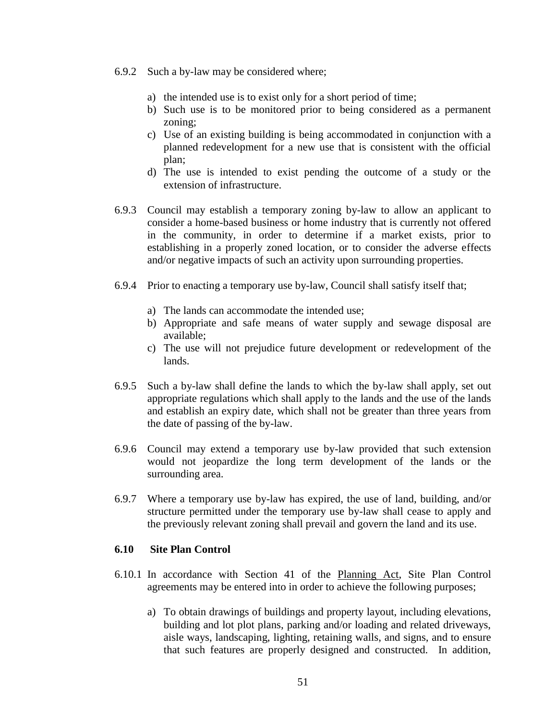- 6.9.2 Such a by-law may be considered where;
	- a) the intended use is to exist only for a short period of time;
	- b) Such use is to be monitored prior to being considered as a permanent zoning;
	- c) Use of an existing building is being accommodated in conjunction with a planned redevelopment for a new use that is consistent with the official plan;
	- d) The use is intended to exist pending the outcome of a study or the extension of infrastructure.
- 6.9.3 Council may establish a temporary zoning by-law to allow an applicant to consider a home-based business or home industry that is currently not offered in the community, in order to determine if a market exists, prior to establishing in a properly zoned location, or to consider the adverse effects and/or negative impacts of such an activity upon surrounding properties.
- 6.9.4 Prior to enacting a temporary use by-law, Council shall satisfy itself that;
	- a) The lands can accommodate the intended use;
	- b) Appropriate and safe means of water supply and sewage disposal are available;
	- c) The use will not prejudice future development or redevelopment of the lands.
- 6.9.5 Such a by-law shall define the lands to which the by-law shall apply, set out appropriate regulations which shall apply to the lands and the use of the lands and establish an expiry date, which shall not be greater than three years from the date of passing of the by-law.
- 6.9.6 Council may extend a temporary use by-law provided that such extension would not jeopardize the long term development of the lands or the surrounding area.
- 6.9.7 Where a temporary use by-law has expired, the use of land, building, and/or structure permitted under the temporary use by-law shall cease to apply and the previously relevant zoning shall prevail and govern the land and its use.

#### **6.10 Site Plan Control**

- 6.10.1 In accordance with Section 41 of the Planning Act, Site Plan Control agreements may be entered into in order to achieve the following purposes;
	- a) To obtain drawings of buildings and property layout, including elevations, building and lot plot plans, parking and/or loading and related driveways, aisle ways, landscaping, lighting, retaining walls, and signs, and to ensure that such features are properly designed and constructed. In addition,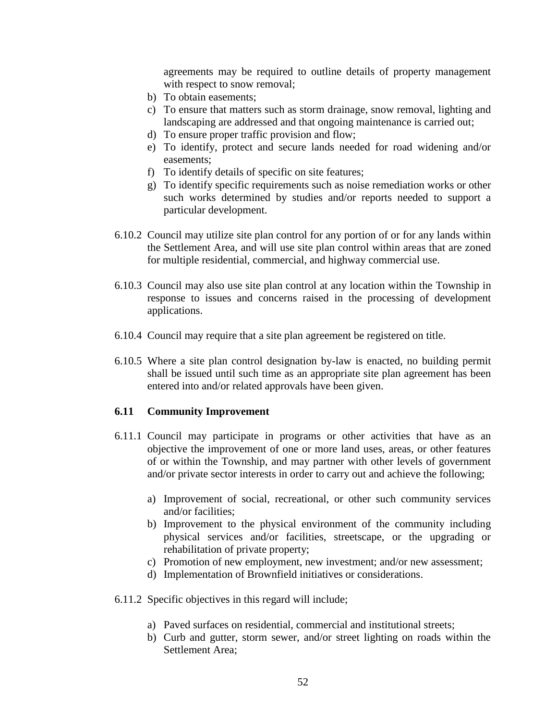agreements may be required to outline details of property management with respect to snow removal;

- b) To obtain easements;
- c) To ensure that matters such as storm drainage, snow removal, lighting and landscaping are addressed and that ongoing maintenance is carried out;
- d) To ensure proper traffic provision and flow;
- e) To identify, protect and secure lands needed for road widening and/or easements;
- f) To identify details of specific on site features;
- g) To identify specific requirements such as noise remediation works or other such works determined by studies and/or reports needed to support a particular development.
- 6.10.2 Council may utilize site plan control for any portion of or for any lands within the Settlement Area, and will use site plan control within areas that are zoned for multiple residential, commercial, and highway commercial use.
- 6.10.3 Council may also use site plan control at any location within the Township in response to issues and concerns raised in the processing of development applications.
- 6.10.4 Council may require that a site plan agreement be registered on title.
- 6.10.5 Where a site plan control designation by-law is enacted, no building permit shall be issued until such time as an appropriate site plan agreement has been entered into and/or related approvals have been given.

#### **6.11 Community Improvement**

- 6.11.1 Council may participate in programs or other activities that have as an objective the improvement of one or more land uses, areas, or other features of or within the Township, and may partner with other levels of government and/or private sector interests in order to carry out and achieve the following;
	- a) Improvement of social, recreational, or other such community services and/or facilities;
	- b) Improvement to the physical environment of the community including physical services and/or facilities, streetscape, or the upgrading or rehabilitation of private property;
	- c) Promotion of new employment, new investment; and/or new assessment;
	- d) Implementation of Brownfield initiatives or considerations.
- 6.11.2 Specific objectives in this regard will include;
	- a) Paved surfaces on residential, commercial and institutional streets;
	- b) Curb and gutter, storm sewer, and/or street lighting on roads within the Settlement Area;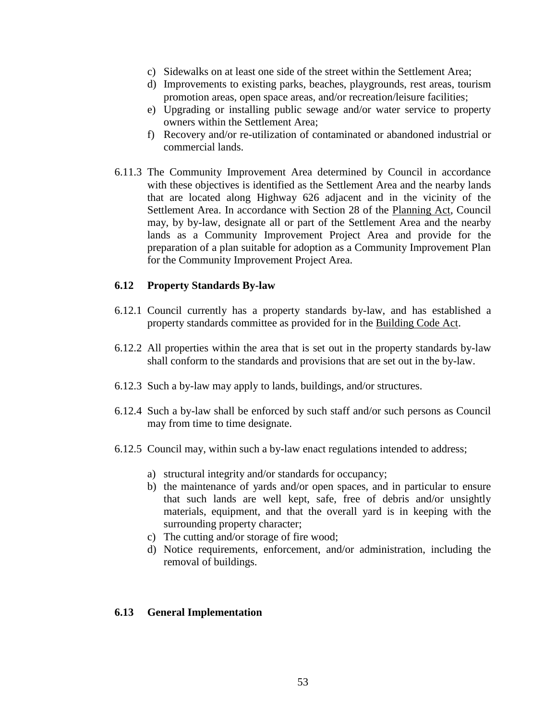- c) Sidewalks on at least one side of the street within the Settlement Area;
- d) Improvements to existing parks, beaches, playgrounds, rest areas, tourism promotion areas, open space areas, and/or recreation/leisure facilities;
- e) Upgrading or installing public sewage and/or water service to property owners within the Settlement Area;
- f) Recovery and/or re-utilization of contaminated or abandoned industrial or commercial lands.
- 6.11.3 The Community Improvement Area determined by Council in accordance with these objectives is identified as the Settlement Area and the nearby lands that are located along Highway 626 adjacent and in the vicinity of the Settlement Area. In accordance with Section 28 of the Planning Act, Council may, by by-law, designate all or part of the Settlement Area and the nearby lands as a Community Improvement Project Area and provide for the preparation of a plan suitable for adoption as a Community Improvement Plan for the Community Improvement Project Area.

#### **6.12 Property Standards By-law**

- 6.12.1 Council currently has a property standards by-law, and has established a property standards committee as provided for in the Building Code Act.
- 6.12.2 All properties within the area that is set out in the property standards by-law shall conform to the standards and provisions that are set out in the by-law.
- 6.12.3 Such a by-law may apply to lands, buildings, and/or structures.
- 6.12.4 Such a by-law shall be enforced by such staff and/or such persons as Council may from time to time designate.
- 6.12.5 Council may, within such a by-law enact regulations intended to address;
	- a) structural integrity and/or standards for occupancy;
	- b) the maintenance of yards and/or open spaces, and in particular to ensure that such lands are well kept, safe, free of debris and/or unsightly materials, equipment, and that the overall yard is in keeping with the surrounding property character;
	- c) The cutting and/or storage of fire wood;
	- d) Notice requirements, enforcement, and/or administration, including the removal of buildings.

#### **6.13 General Implementation**